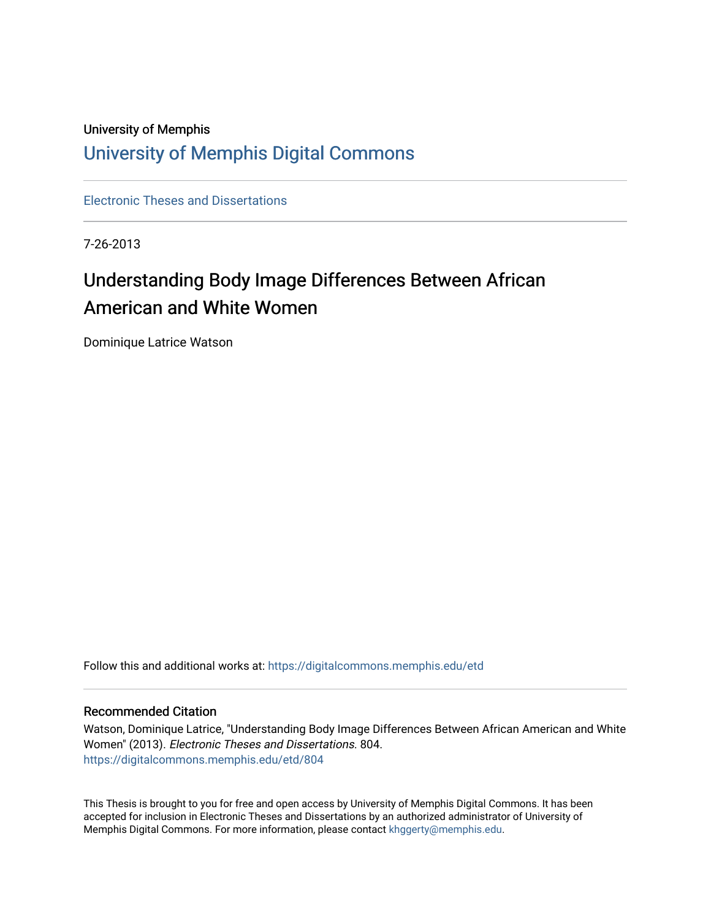## University of Memphis [University of Memphis Digital Commons](https://digitalcommons.memphis.edu/)

[Electronic Theses and Dissertations](https://digitalcommons.memphis.edu/etd)

7-26-2013

# Understanding Body Image Differences Between African American and White Women

Dominique Latrice Watson

Follow this and additional works at: [https://digitalcommons.memphis.edu/etd](https://digitalcommons.memphis.edu/etd?utm_source=digitalcommons.memphis.edu%2Fetd%2F804&utm_medium=PDF&utm_campaign=PDFCoverPages) 

#### Recommended Citation

Watson, Dominique Latrice, "Understanding Body Image Differences Between African American and White Women" (2013). Electronic Theses and Dissertations. 804. [https://digitalcommons.memphis.edu/etd/804](https://digitalcommons.memphis.edu/etd/804?utm_source=digitalcommons.memphis.edu%2Fetd%2F804&utm_medium=PDF&utm_campaign=PDFCoverPages) 

This Thesis is brought to you for free and open access by University of Memphis Digital Commons. It has been accepted for inclusion in Electronic Theses and Dissertations by an authorized administrator of University of Memphis Digital Commons. For more information, please contact [khggerty@memphis.edu.](mailto:khggerty@memphis.edu)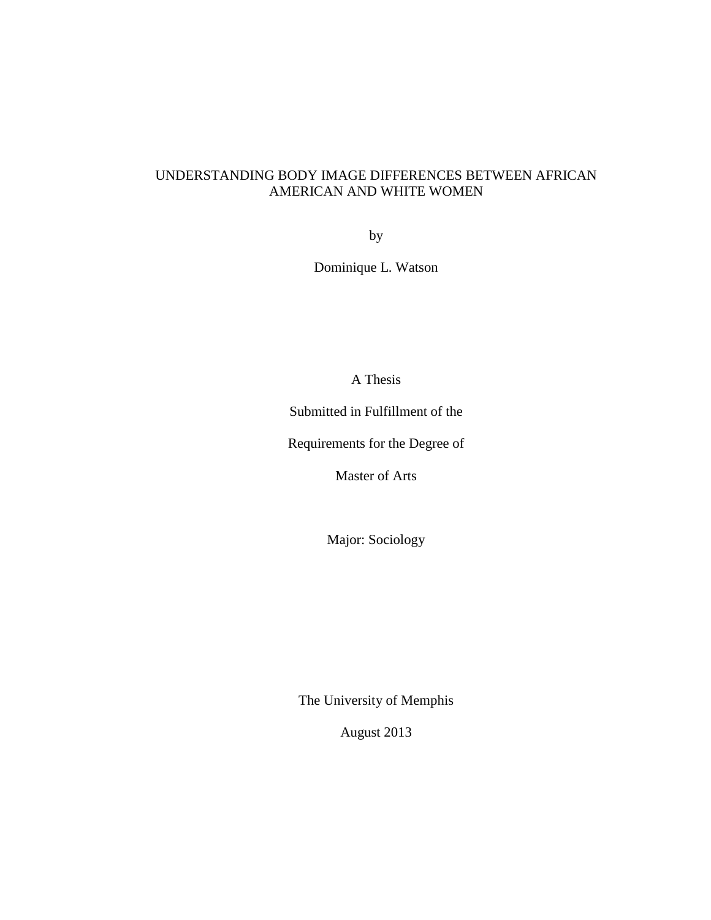## UNDERSTANDING BODY IMAGE DIFFERENCES BETWEEN AFRICAN AMERICAN AND WHITE WOMEN

by

Dominique L. Watson

A Thesis

Submitted in Fulfillment of the

Requirements for the Degree of

Master of Arts

Major: Sociology

The University of Memphis

August 2013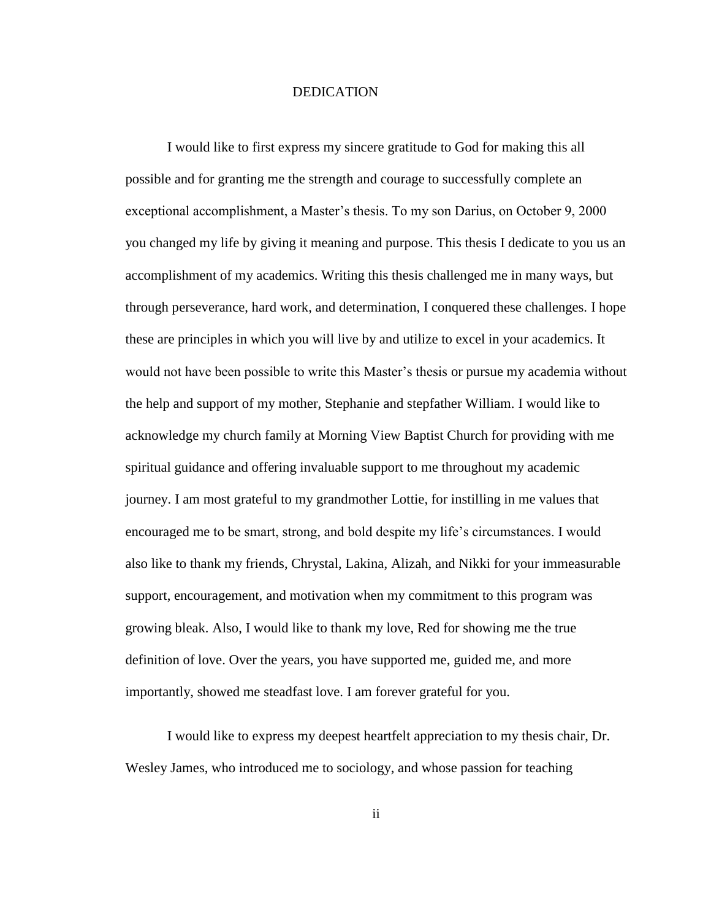#### DEDICATION

I would like to first express my sincere gratitude to God for making this all possible and for granting me the strength and courage to successfully complete an exceptional accomplishment, a Master"s thesis. To my son Darius, on October 9, 2000 you changed my life by giving it meaning and purpose. This thesis I dedicate to you us an accomplishment of my academics. Writing this thesis challenged me in many ways, but through perseverance, hard work, and determination, I conquered these challenges. I hope these are principles in which you will live by and utilize to excel in your academics. It would not have been possible to write this Master"s thesis or pursue my academia without the help and support of my mother, Stephanie and stepfather William. I would like to acknowledge my church family at Morning View Baptist Church for providing with me spiritual guidance and offering invaluable support to me throughout my academic journey. I am most grateful to my grandmother Lottie, for instilling in me values that encouraged me to be smart, strong, and bold despite my life"s circumstances. I would also like to thank my friends, Chrystal, Lakina, Alizah, and Nikki for your immeasurable support, encouragement, and motivation when my commitment to this program was growing bleak. Also, I would like to thank my love, Red for showing me the true definition of love. Over the years, you have supported me, guided me, and more importantly, showed me steadfast love. I am forever grateful for you.

I would like to express my deepest heartfelt appreciation to my thesis chair, Dr. Wesley James, who introduced me to sociology, and whose passion for teaching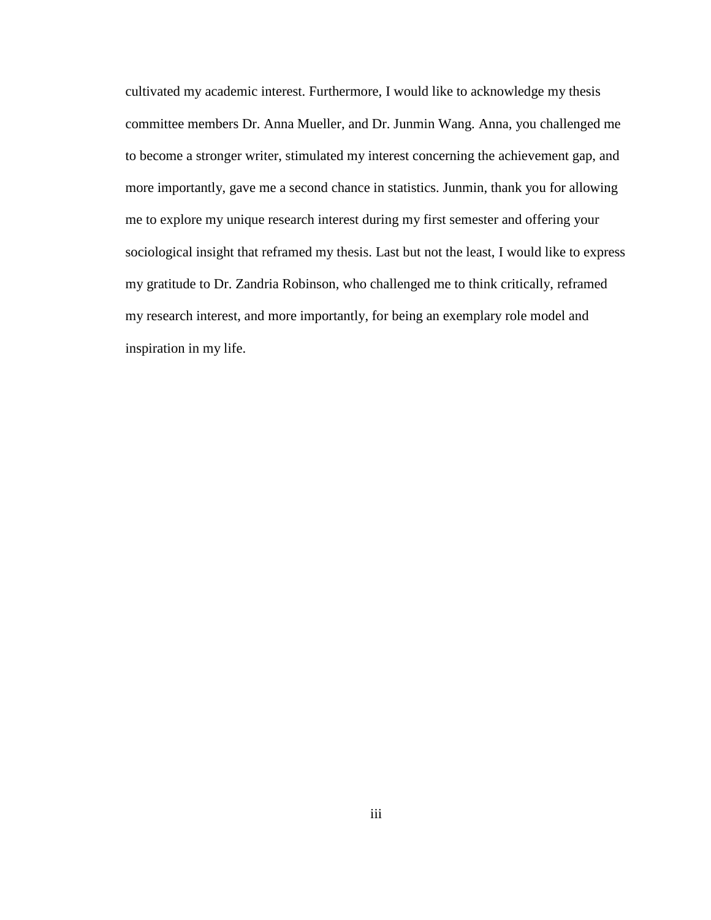cultivated my academic interest. Furthermore, I would like to acknowledge my thesis committee members Dr. Anna Mueller, and Dr. Junmin Wang. Anna, you challenged me to become a stronger writer, stimulated my interest concerning the achievement gap, and more importantly, gave me a second chance in statistics. Junmin, thank you for allowing me to explore my unique research interest during my first semester and offering your sociological insight that reframed my thesis. Last but not the least, I would like to express my gratitude to Dr. Zandria Robinson, who challenged me to think critically, reframed my research interest, and more importantly, for being an exemplary role model and inspiration in my life.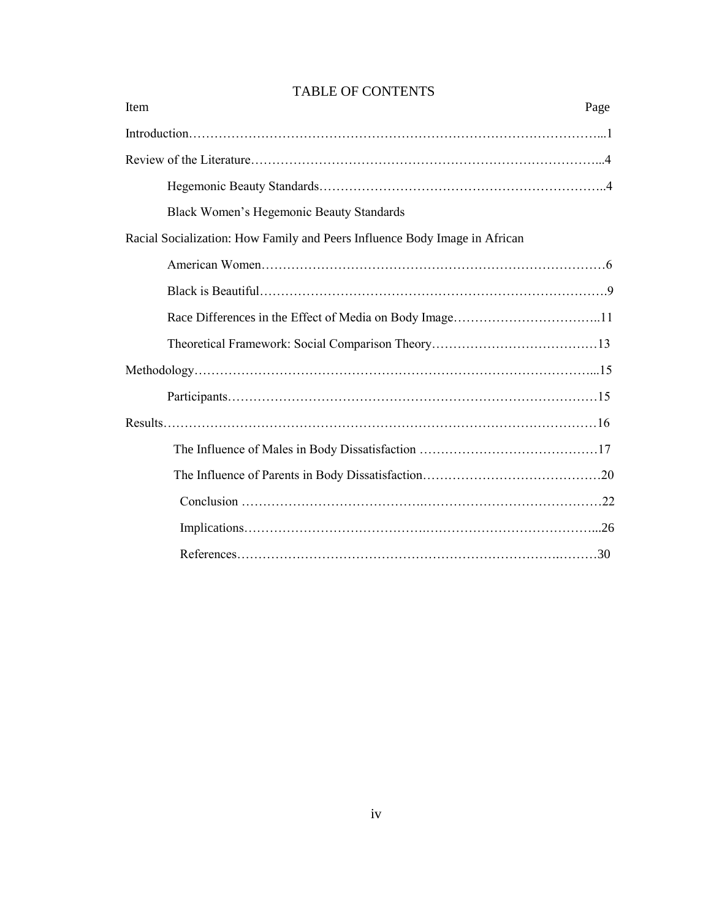| Item |                                                                            | Page |
|------|----------------------------------------------------------------------------|------|
|      |                                                                            |      |
|      |                                                                            |      |
|      |                                                                            |      |
|      | Black Women's Hegemonic Beauty Standards                                   |      |
|      | Racial Socialization: How Family and Peers Influence Body Image in African |      |
|      |                                                                            |      |
|      |                                                                            |      |
|      |                                                                            |      |
|      |                                                                            |      |
|      |                                                                            |      |
|      |                                                                            |      |
|      |                                                                            |      |
|      |                                                                            |      |
|      |                                                                            |      |
|      |                                                                            |      |
|      |                                                                            |      |
|      |                                                                            |      |

## TABLE OF CONTENTS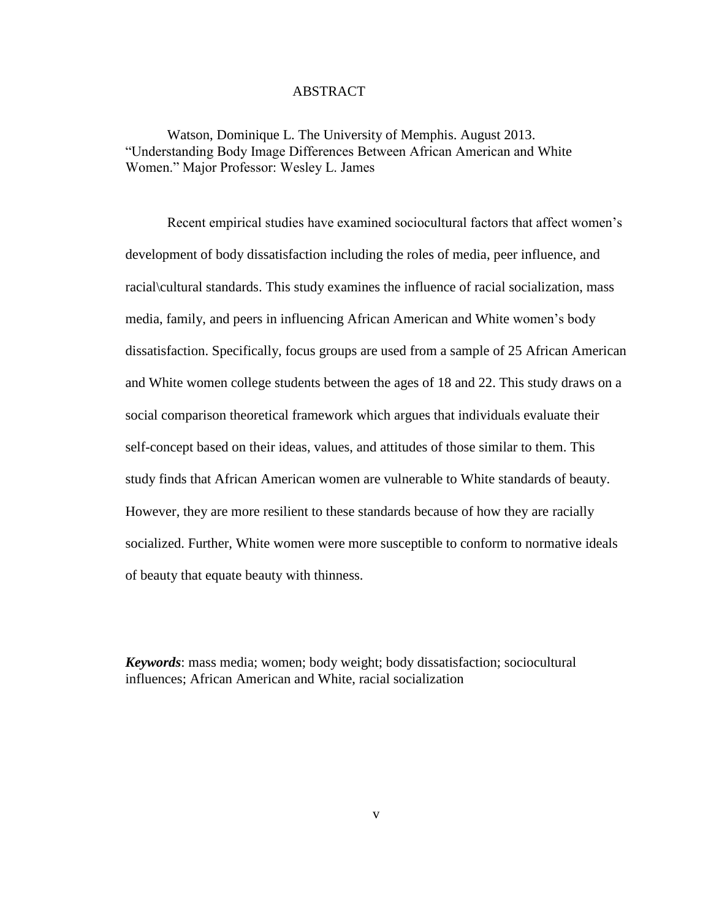#### ABSTRACT

Watson, Dominique L. The University of Memphis. August 2013. "Understanding Body Image Differences Between African American and White Women." Major Professor: Wesley L. James

Recent empirical studies have examined sociocultural factors that affect women"s development of body dissatisfaction including the roles of media, peer influence, and racial\cultural standards. This study examines the influence of racial socialization, mass media, family, and peers in influencing African American and White women"s body dissatisfaction. Specifically, focus groups are used from a sample of 25 African American and White women college students between the ages of 18 and 22. This study draws on a social comparison theoretical framework which argues that individuals evaluate their self-concept based on their ideas, values, and attitudes of those similar to them. This study finds that African American women are vulnerable to White standards of beauty. However, they are more resilient to these standards because of how they are racially socialized. Further, White women were more susceptible to conform to normative ideals of beauty that equate beauty with thinness.

*Keywords*: mass media; women; body weight; body dissatisfaction; sociocultural influences; African American and White, racial socialization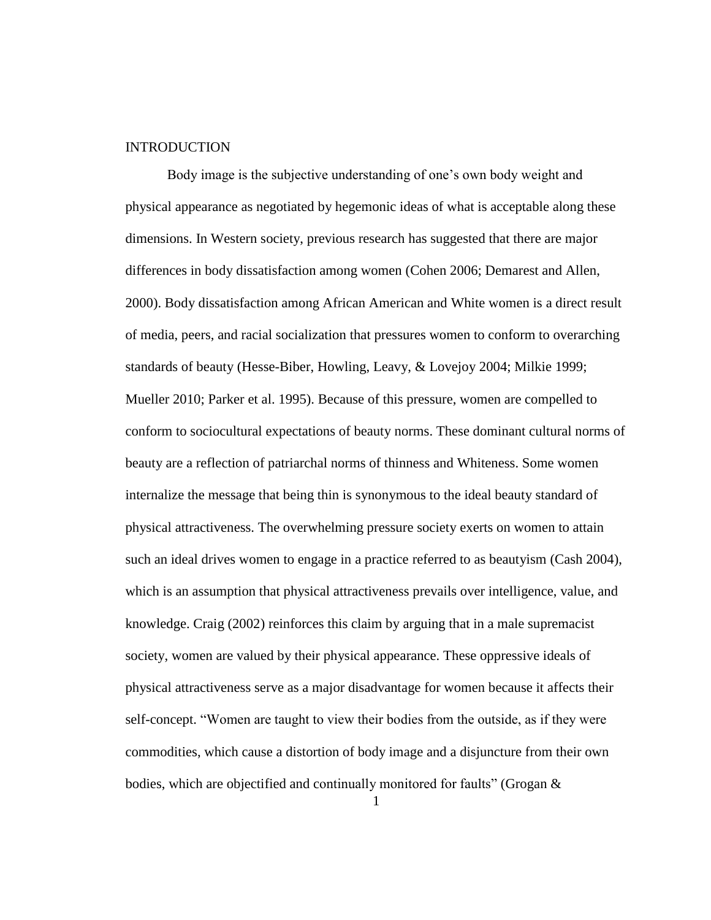#### **INTRODUCTION**

Body image is the subjective understanding of one's own body weight and physical appearance as negotiated by hegemonic ideas of what is acceptable along these dimensions. In Western society, previous research has suggested that there are major differences in body dissatisfaction among women (Cohen 2006; Demarest and Allen, 2000). Body dissatisfaction among African American and White women is a direct result of media, peers, and racial socialization that pressures women to conform to overarching standards of beauty (Hesse-Biber, Howling, Leavy, & Lovejoy 2004; Milkie 1999; Mueller 2010; Parker et al. 1995). Because of this pressure, women are compelled to conform to sociocultural expectations of beauty norms. These dominant cultural norms of beauty are a reflection of patriarchal norms of thinness and Whiteness. Some women internalize the message that being thin is synonymous to the ideal beauty standard of physical attractiveness. The overwhelming pressure society exerts on women to attain such an ideal drives women to engage in a practice referred to as beautyism (Cash 2004), which is an assumption that physical attractiveness prevails over intelligence, value, and knowledge. Craig (2002) reinforces this claim by arguing that in a male supremacist society, women are valued by their physical appearance. These oppressive ideals of physical attractiveness serve as a major disadvantage for women because it affects their self-concept. "Women are taught to view their bodies from the outside, as if they were commodities, which cause a distortion of body image and a disjuncture from their own bodies, which are objectified and continually monitored for faults" (Grogan &

1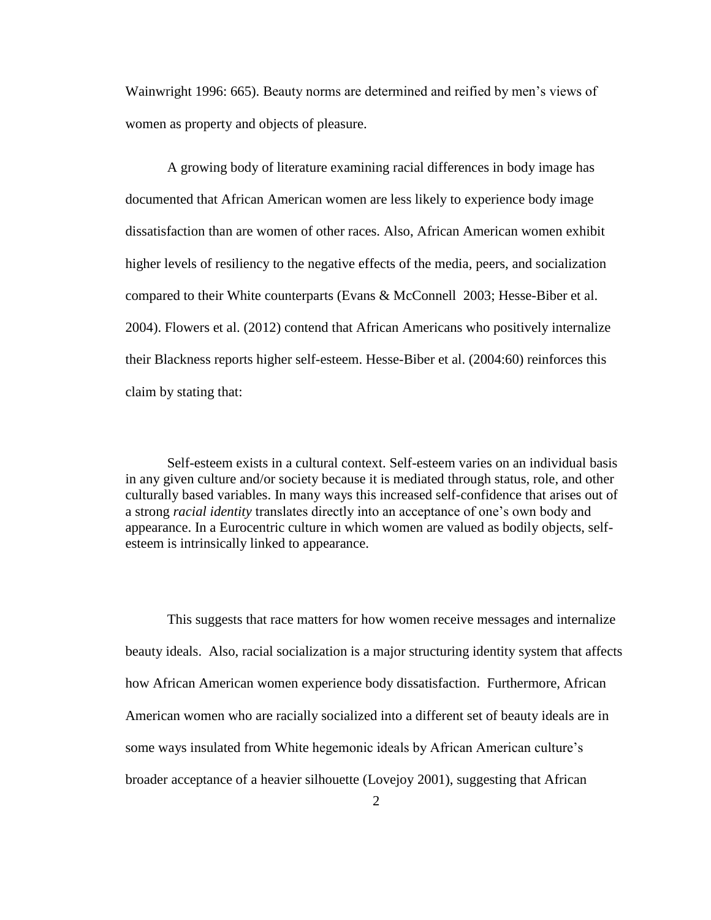Wainwright 1996: 665). Beauty norms are determined and reified by men"s views of women as property and objects of pleasure.

A growing body of literature examining racial differences in body image has documented that African American women are less likely to experience body image dissatisfaction than are women of other races. Also, African American women exhibit higher levels of resiliency to the negative effects of the media, peers, and socialization compared to their White counterparts (Evans & McConnell 2003; Hesse-Biber et al. 2004). Flowers et al. (2012) contend that African Americans who positively internalize their Blackness reports higher self-esteem. Hesse-Biber et al. (2004:60) reinforces this claim by stating that:

Self-esteem exists in a cultural context. Self-esteem varies on an individual basis in any given culture and/or society because it is mediated through status, role, and other culturally based variables. In many ways this increased self-confidence that arises out of a strong *racial identity* translates directly into an acceptance of one"s own body and appearance. In a Eurocentric culture in which women are valued as bodily objects, selfesteem is intrinsically linked to appearance.

This suggests that race matters for how women receive messages and internalize beauty ideals. Also, racial socialization is a major structuring identity system that affects how African American women experience body dissatisfaction. Furthermore, African American women who are racially socialized into a different set of beauty ideals are in some ways insulated from White hegemonic ideals by African American culture's broader acceptance of a heavier silhouette (Lovejoy 2001), suggesting that African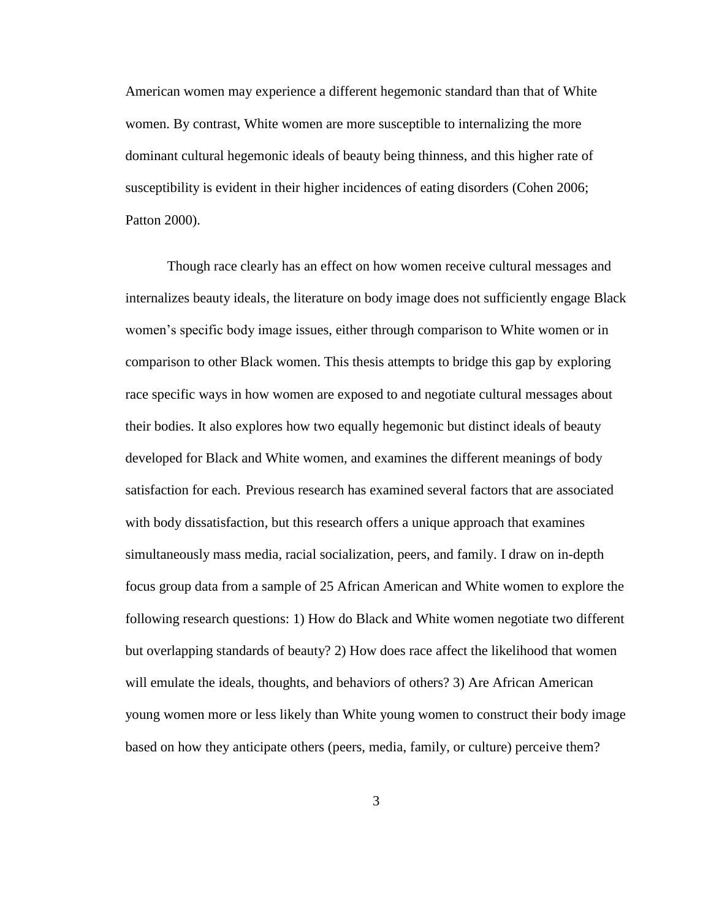American women may experience a different hegemonic standard than that of White women. By contrast, White women are more susceptible to internalizing the more dominant cultural hegemonic ideals of beauty being thinness, and this higher rate of susceptibility is evident in their higher incidences of eating disorders (Cohen 2006; Patton 2000).

Though race clearly has an effect on how women receive cultural messages and internalizes beauty ideals, the literature on body image does not sufficiently engage Black women's specific body image issues, either through comparison to White women or in comparison to other Black women. This thesis attempts to bridge this gap by exploring race specific ways in how women are exposed to and negotiate cultural messages about their bodies. It also explores how two equally hegemonic but distinct ideals of beauty developed for Black and White women, and examines the different meanings of body satisfaction for each. Previous research has examined several factors that are associated with body dissatisfaction, but this research offers a unique approach that examines simultaneously mass media, racial socialization, peers, and family. I draw on in-depth focus group data from a sample of 25 African American and White women to explore the following research questions: 1) How do Black and White women negotiate two different but overlapping standards of beauty? 2) How does race affect the likelihood that women will emulate the ideals, thoughts, and behaviors of others? 3) Are African American young women more or less likely than White young women to construct their body image based on how they anticipate others (peers, media, family, or culture) perceive them?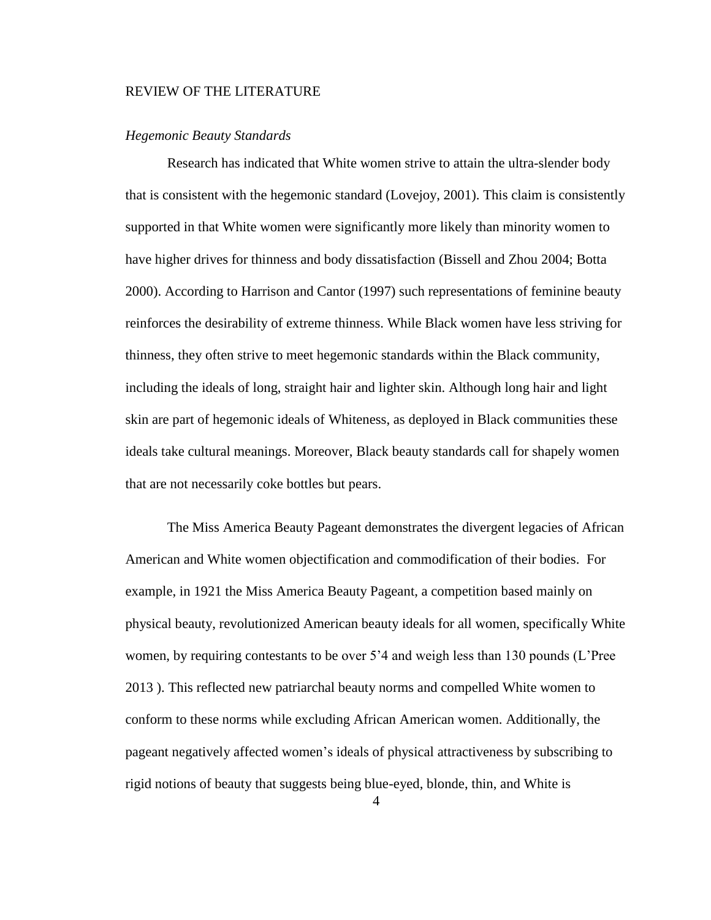#### REVIEW OF THE LITERATURE

#### *Hegemonic Beauty Standards*

Research has indicated that White women strive to attain the ultra-slender body that is consistent with the hegemonic standard (Lovejoy, 2001). This claim is consistently supported in that White women were significantly more likely than minority women to have higher drives for thinness and body dissatisfaction (Bissell and Zhou 2004; Botta 2000). According to Harrison and Cantor (1997) such representations of feminine beauty reinforces the desirability of extreme thinness. While Black women have less striving for thinness, they often strive to meet hegemonic standards within the Black community, including the ideals of long, straight hair and lighter skin. Although long hair and light skin are part of hegemonic ideals of Whiteness, as deployed in Black communities these ideals take cultural meanings. Moreover, Black beauty standards call for shapely women that are not necessarily coke bottles but pears.

The Miss America Beauty Pageant demonstrates the divergent legacies of African American and White women objectification and commodification of their bodies. For example, in 1921 the Miss America Beauty Pageant, a competition based mainly on physical beauty, revolutionized American beauty ideals for all women, specifically White women, by requiring contestants to be over 5<sup>2</sup> and weigh less than 130 pounds (L'Pree 2013 ). This reflected new patriarchal beauty norms and compelled White women to conform to these norms while excluding African American women. Additionally, the pageant negatively affected women"s ideals of physical attractiveness by subscribing to rigid notions of beauty that suggests being blue-eyed, blonde, thin, and White is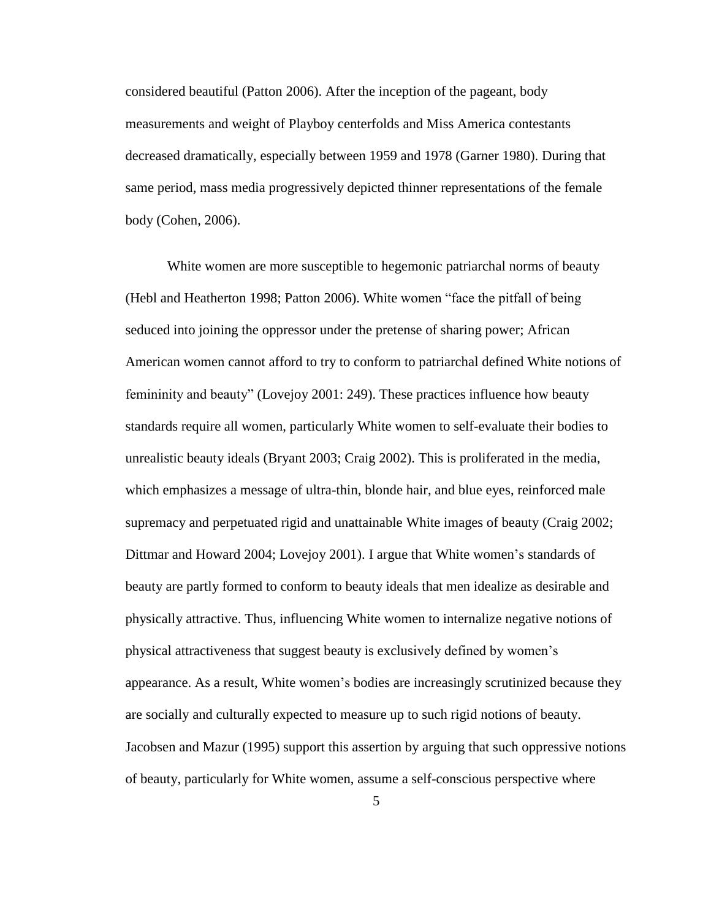considered beautiful (Patton 2006). After the inception of the pageant, body measurements and weight of Playboy centerfolds and Miss America contestants decreased dramatically, especially between 1959 and 1978 (Garner 1980). During that same period, mass media progressively depicted thinner representations of the female body (Cohen, 2006).

White women are more susceptible to hegemonic patriarchal norms of beauty (Hebl and Heatherton 1998; Patton 2006). White women "face the pitfall of being seduced into joining the oppressor under the pretense of sharing power; African American women cannot afford to try to conform to patriarchal defined White notions of femininity and beauty" (Lovejoy 2001: 249). These practices influence how beauty standards require all women, particularly White women to self-evaluate their bodies to unrealistic beauty ideals (Bryant 2003; Craig 2002). This is proliferated in the media, which emphasizes a message of ultra-thin, blonde hair, and blue eyes, reinforced male supremacy and perpetuated rigid and unattainable White images of beauty (Craig 2002; Dittmar and Howard 2004; Lovejoy 2001). I argue that White women"s standards of beauty are partly formed to conform to beauty ideals that men idealize as desirable and physically attractive. Thus, influencing White women to internalize negative notions of physical attractiveness that suggest beauty is exclusively defined by women"s appearance. As a result, White women"s bodies are increasingly scrutinized because they are socially and culturally expected to measure up to such rigid notions of beauty. Jacobsen and Mazur (1995) support this assertion by arguing that such oppressive notions of beauty, particularly for White women, assume a self-conscious perspective where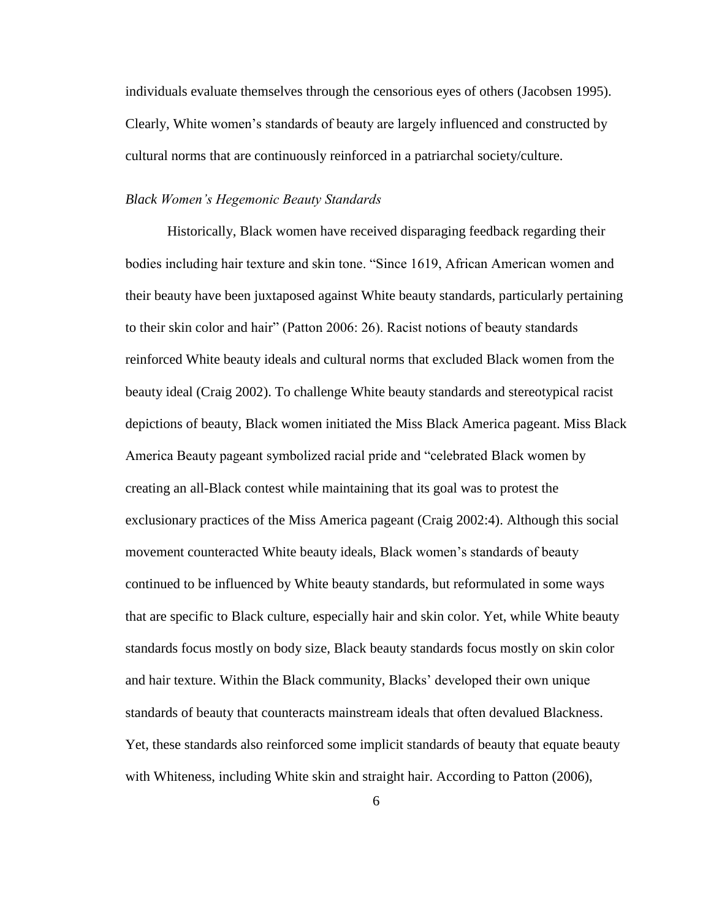individuals evaluate themselves through the censorious eyes of others (Jacobsen 1995). Clearly, White women"s standards of beauty are largely influenced and constructed by cultural norms that are continuously reinforced in a patriarchal society/culture.

#### *Black Women's Hegemonic Beauty Standards*

Historically, Black women have received disparaging feedback regarding their bodies including hair texture and skin tone. "Since 1619, African American women and their beauty have been juxtaposed against White beauty standards, particularly pertaining to their skin color and hair" (Patton 2006: 26). Racist notions of beauty standards reinforced White beauty ideals and cultural norms that excluded Black women from the beauty ideal (Craig 2002). To challenge White beauty standards and stereotypical racist depictions of beauty, Black women initiated the Miss Black America pageant. Miss Black America Beauty pageant symbolized racial pride and "celebrated Black women by creating an all-Black contest while maintaining that its goal was to protest the exclusionary practices of the Miss America pageant (Craig 2002:4). Although this social movement counteracted White beauty ideals, Black women"s standards of beauty continued to be influenced by White beauty standards, but reformulated in some ways that are specific to Black culture, especially hair and skin color. Yet, while White beauty standards focus mostly on body size, Black beauty standards focus mostly on skin color and hair texture. Within the Black community, Blacks" developed their own unique standards of beauty that counteracts mainstream ideals that often devalued Blackness. Yet, these standards also reinforced some implicit standards of beauty that equate beauty with Whiteness, including White skin and straight hair. According to Patton (2006),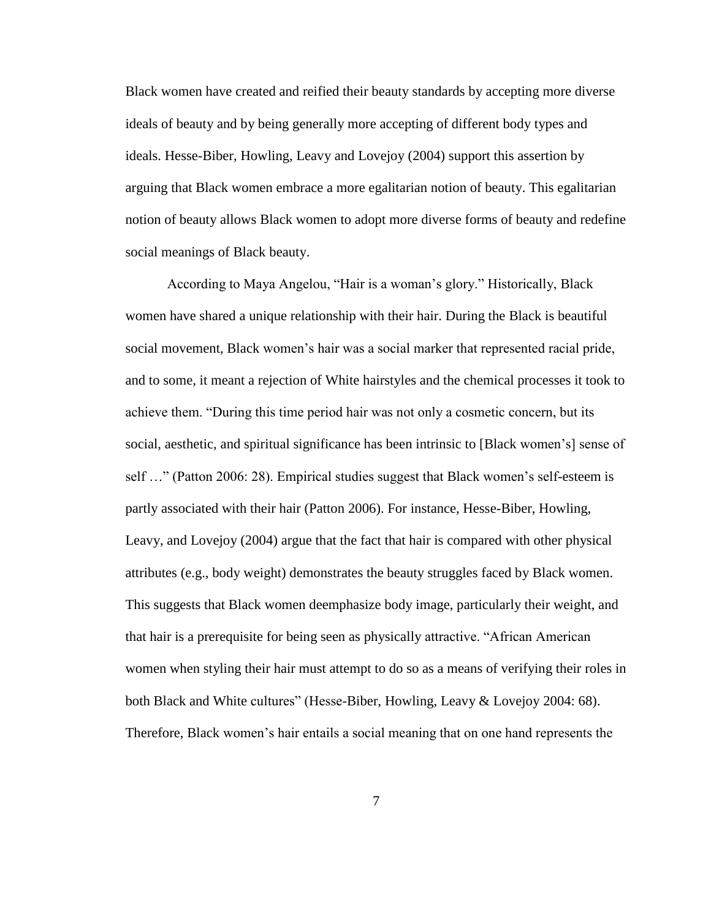Black women have created and reified their beauty standards by accepting more diverse ideals of beauty and by being generally more accepting of different body types and ideals. Hesse-Biber, Howling, Leavy and Lovejoy (2004) support this assertion by arguing that Black women embrace a more egalitarian notion of beauty. This egalitarian notion of beauty allows Black women to adopt more diverse forms of beauty and redefine social meanings of Black beauty.

According to Maya Angelou, "Hair is a woman"s glory." Historically, Black women have shared a unique relationship with their hair. During the Black is beautiful social movement, Black women"s hair was a social marker that represented racial pride, and to some, it meant a rejection of White hairstyles and the chemical processes it took to achieve them. "During this time period hair was not only a cosmetic concern, but its social, aesthetic, and spiritual significance has been intrinsic to [Black women"s] sense of self ..." (Patton 2006: 28). Empirical studies suggest that Black women's self-esteem is partly associated with their hair (Patton 2006). For instance, Hesse-Biber, Howling, Leavy, and Lovejoy (2004) argue that the fact that hair is compared with other physical attributes (e.g., body weight) demonstrates the beauty struggles faced by Black women. This suggests that Black women deemphasize body image, particularly their weight, and that hair is a prerequisite for being seen as physically attractive. "African American women when styling their hair must attempt to do so as a means of verifying their roles in both Black and White cultures" (Hesse-Biber, Howling, Leavy & Lovejoy 2004: 68). Therefore, Black women"s hair entails a social meaning that on one hand represents the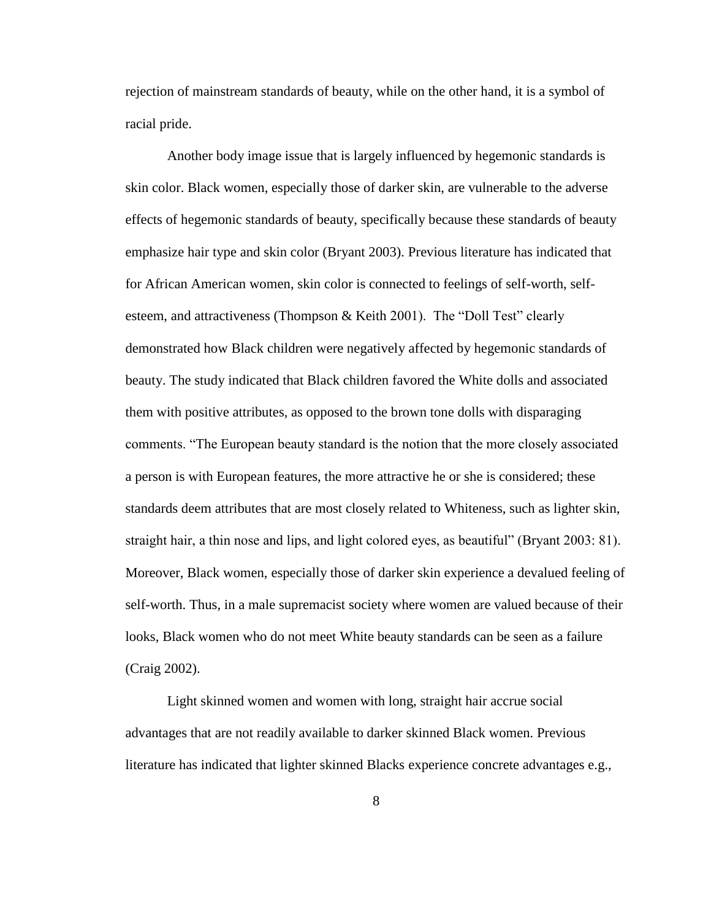rejection of mainstream standards of beauty, while on the other hand, it is a symbol of racial pride.

Another body image issue that is largely influenced by hegemonic standards is skin color. Black women, especially those of darker skin, are vulnerable to the adverse effects of hegemonic standards of beauty, specifically because these standards of beauty emphasize hair type and skin color (Bryant 2003). Previous literature has indicated that for African American women, skin color is connected to feelings of self-worth, selfesteem, and attractiveness (Thompson & Keith 2001). The "Doll Test" clearly demonstrated how Black children were negatively affected by hegemonic standards of beauty. The study indicated that Black children favored the White dolls and associated them with positive attributes, as opposed to the brown tone dolls with disparaging comments. "The European beauty standard is the notion that the more closely associated a person is with European features, the more attractive he or she is considered; these standards deem attributes that are most closely related to Whiteness, such as lighter skin, straight hair, a thin nose and lips, and light colored eyes, as beautiful" (Bryant 2003: 81). Moreover, Black women, especially those of darker skin experience a devalued feeling of self-worth. Thus, in a male supremacist society where women are valued because of their looks, Black women who do not meet White beauty standards can be seen as a failure (Craig 2002).

Light skinned women and women with long, straight hair accrue social advantages that are not readily available to darker skinned Black women. Previous literature has indicated that lighter skinned Blacks experience concrete advantages e.g.,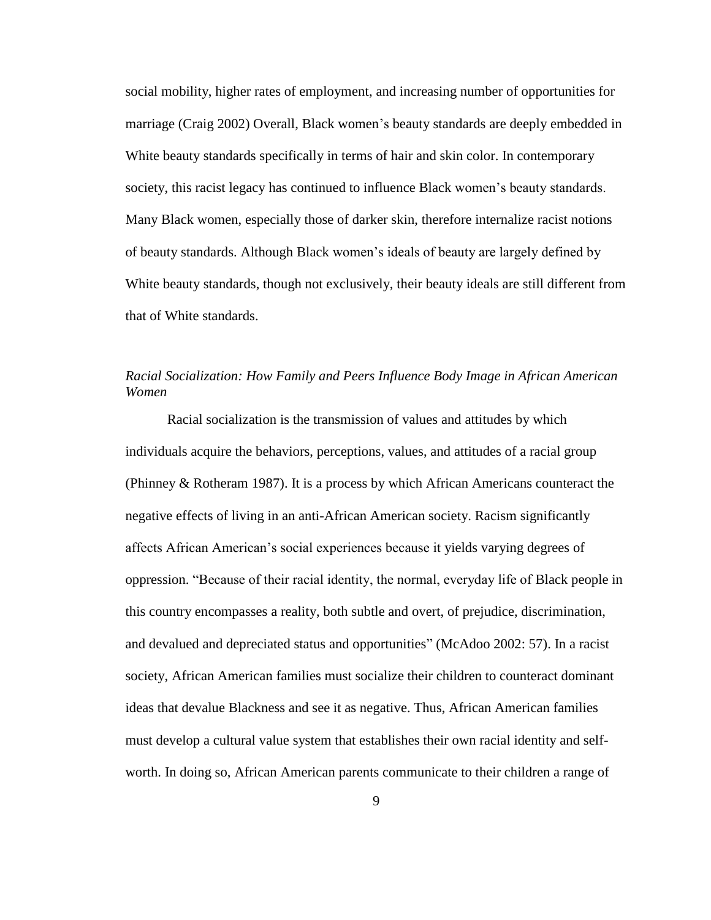social mobility, higher rates of employment, and increasing number of opportunities for marriage (Craig 2002) Overall, Black women's beauty standards are deeply embedded in White beauty standards specifically in terms of hair and skin color. In contemporary society, this racist legacy has continued to influence Black women"s beauty standards. Many Black women, especially those of darker skin, therefore internalize racist notions of beauty standards. Although Black women"s ideals of beauty are largely defined by White beauty standards, though not exclusively, their beauty ideals are still different from that of White standards.

### *Racial Socialization: How Family and Peers Influence Body Image in African American Women*

Racial socialization is the transmission of values and attitudes by which individuals acquire the behaviors, perceptions, values, and attitudes of a racial group (Phinney & Rotheram 1987). It is a process by which African Americans counteract the negative effects of living in an anti-African American society. Racism significantly affects African American"s social experiences because it yields varying degrees of oppression. "Because of their racial identity, the normal, everyday life of Black people in this country encompasses a reality, both subtle and overt, of prejudice, discrimination, and devalued and depreciated status and opportunities" (McAdoo 2002: 57). In a racist society, African American families must socialize their children to counteract dominant ideas that devalue Blackness and see it as negative. Thus, African American families must develop a cultural value system that establishes their own racial identity and selfworth. In doing so, African American parents communicate to their children a range of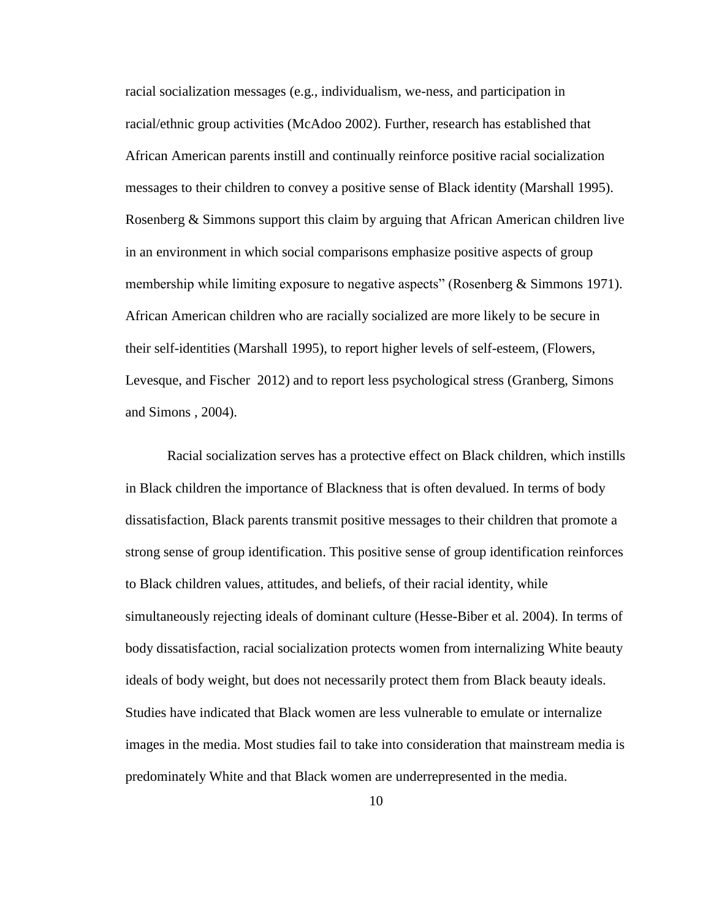racial socialization messages (e.g., individualism, we-ness, and participation in racial/ethnic group activities (McAdoo 2002). Further, research has established that African American parents instill and continually reinforce positive racial socialization messages to their children to convey a positive sense of Black identity (Marshall 1995). Rosenberg & Simmons support this claim by arguing that African American children live in an environment in which social comparisons emphasize positive aspects of group membership while limiting exposure to negative aspects" (Rosenberg & Simmons 1971). African American children who are racially socialized are more likely to be secure in their self-identities (Marshall 1995), to report higher levels of self-esteem, (Flowers, Levesque, and Fischer 2012) and to report less psychological stress (Granberg, Simons and Simons , 2004).

Racial socialization serves has a protective effect on Black children, which instills in Black children the importance of Blackness that is often devalued. In terms of body dissatisfaction, Black parents transmit positive messages to their children that promote a strong sense of group identification. This positive sense of group identification reinforces to Black children values, attitudes, and beliefs, of their racial identity, while simultaneously rejecting ideals of dominant culture (Hesse-Biber et al. 2004). In terms of body dissatisfaction, racial socialization protects women from internalizing White beauty ideals of body weight, but does not necessarily protect them from Black beauty ideals. Studies have indicated that Black women are less vulnerable to emulate or internalize images in the media. Most studies fail to take into consideration that mainstream media is predominately White and that Black women are underrepresented in the media.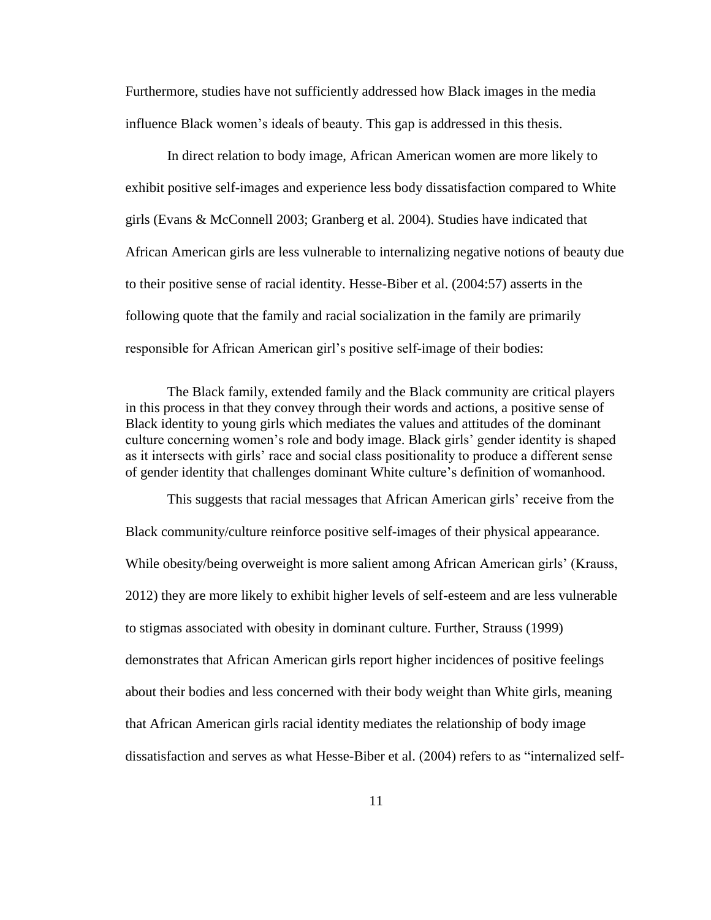Furthermore, studies have not sufficiently addressed how Black images in the media influence Black women"s ideals of beauty. This gap is addressed in this thesis.

In direct relation to body image, African American women are more likely to exhibit positive self-images and experience less body dissatisfaction compared to White girls (Evans & McConnell 2003; Granberg et al. 2004). Studies have indicated that African American girls are less vulnerable to internalizing negative notions of beauty due to their positive sense of racial identity. Hesse-Biber et al. (2004:57) asserts in the following quote that the family and racial socialization in the family are primarily responsible for African American girl"s positive self-image of their bodies:

The Black family, extended family and the Black community are critical players in this process in that they convey through their words and actions, a positive sense of Black identity to young girls which mediates the values and attitudes of the dominant culture concerning women"s role and body image. Black girls" gender identity is shaped as it intersects with girls' race and social class positionality to produce a different sense of gender identity that challenges dominant White culture"s definition of womanhood.

This suggests that racial messages that African American girls" receive from the Black community/culture reinforce positive self-images of their physical appearance. While obesity/being overweight is more salient among African American girls' (Krauss, 2012) they are more likely to exhibit higher levels of self-esteem and are less vulnerable to stigmas associated with obesity in dominant culture. Further, Strauss (1999) demonstrates that African American girls report higher incidences of positive feelings about their bodies and less concerned with their body weight than White girls, meaning that African American girls racial identity mediates the relationship of body image dissatisfaction and serves as what Hesse-Biber et al. (2004) refers to as "internalized self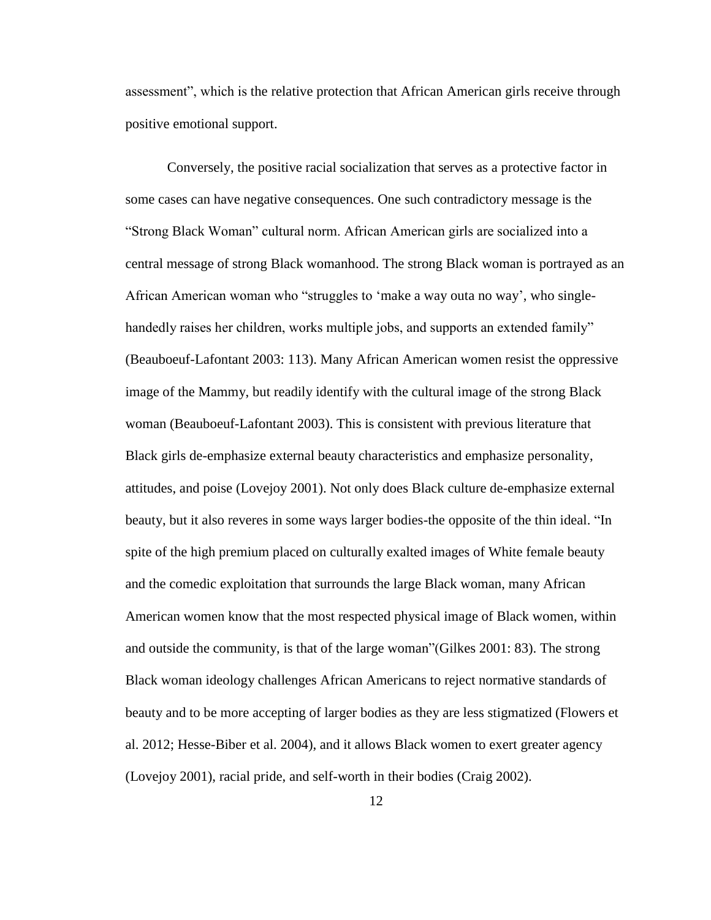assessment", which is the relative protection that African American girls receive through positive emotional support.

Conversely, the positive racial socialization that serves as a protective factor in some cases can have negative consequences. One such contradictory message is the "Strong Black Woman" cultural norm. African American girls are socialized into a central message of strong Black womanhood. The strong Black woman is portrayed as an African American woman who "struggles to "make a way outa no way", who singlehandedly raises her children, works multiple jobs, and supports an extended family" (Beauboeuf-Lafontant 2003: 113). Many African American women resist the oppressive image of the Mammy, but readily identify with the cultural image of the strong Black woman (Beauboeuf-Lafontant 2003). This is consistent with previous literature that Black girls de-emphasize external beauty characteristics and emphasize personality, attitudes, and poise (Lovejoy 2001). Not only does Black culture de-emphasize external beauty, but it also reveres in some ways larger bodies-the opposite of the thin ideal. "In spite of the high premium placed on culturally exalted images of White female beauty and the comedic exploitation that surrounds the large Black woman, many African American women know that the most respected physical image of Black women, within and outside the community, is that of the large woman"(Gilkes 2001: 83). The strong Black woman ideology challenges African Americans to reject normative standards of beauty and to be more accepting of larger bodies as they are less stigmatized (Flowers et al. 2012; Hesse-Biber et al. 2004), and it allows Black women to exert greater agency (Lovejoy 2001), racial pride, and self-worth in their bodies (Craig 2002).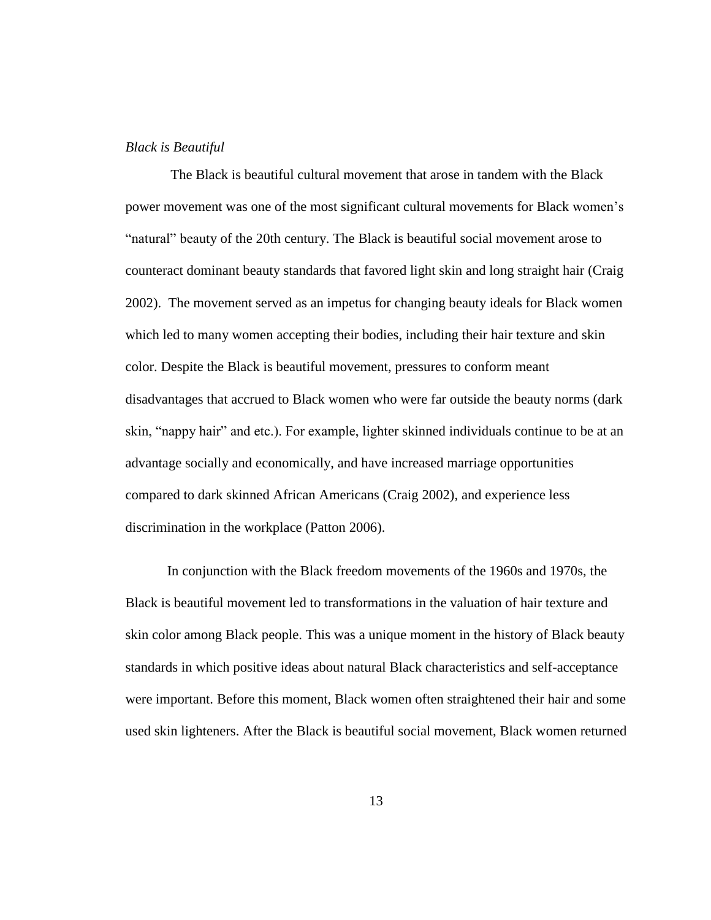#### *Black is Beautiful*

The Black is beautiful cultural movement that arose in tandem with the Black power movement was one of the most significant cultural movements for Black women"s "natural" beauty of the 20th century. The Black is beautiful social movement arose to counteract dominant beauty standards that favored light skin and long straight hair (Craig 2002). The movement served as an impetus for changing beauty ideals for Black women which led to many women accepting their bodies, including their hair texture and skin color. Despite the Black is beautiful movement, pressures to conform meant disadvantages that accrued to Black women who were far outside the beauty norms (dark skin, "nappy hair" and etc.). For example, lighter skinned individuals continue to be at an advantage socially and economically, and have increased marriage opportunities compared to dark skinned African Americans (Craig 2002), and experience less discrimination in the workplace (Patton 2006).

In conjunction with the Black freedom movements of the 1960s and 1970s, the Black is beautiful movement led to transformations in the valuation of hair texture and skin color among Black people. This was a unique moment in the history of Black beauty standards in which positive ideas about natural Black characteristics and self-acceptance were important. Before this moment, Black women often straightened their hair and some used skin lighteners. After the Black is beautiful social movement, Black women returned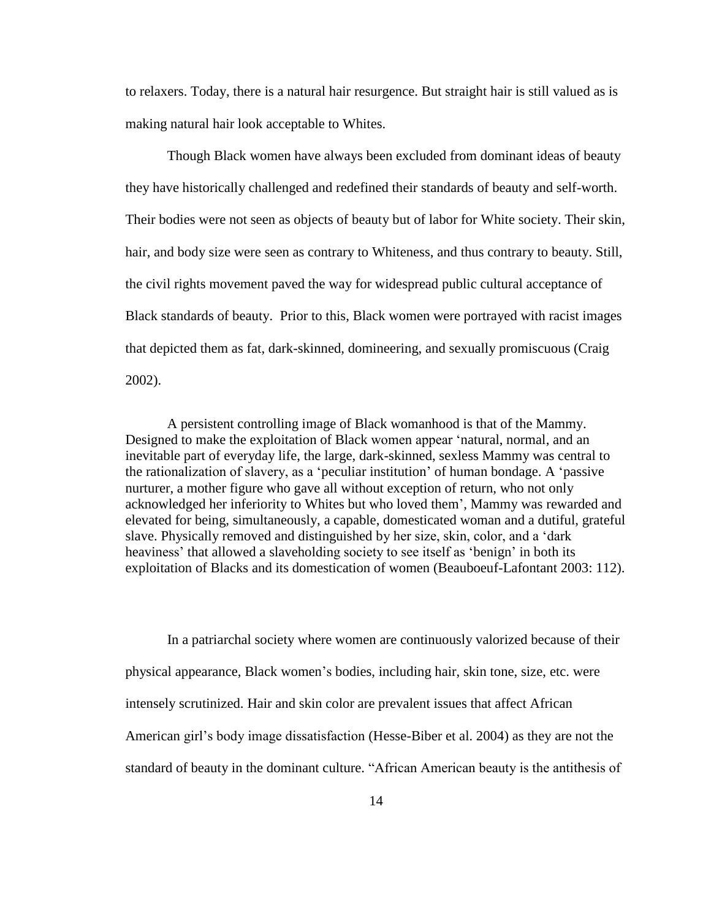to relaxers. Today, there is a natural hair resurgence. But straight hair is still valued as is making natural hair look acceptable to Whites.

Though Black women have always been excluded from dominant ideas of beauty they have historically challenged and redefined their standards of beauty and self-worth. Their bodies were not seen as objects of beauty but of labor for White society. Their skin, hair, and body size were seen as contrary to Whiteness, and thus contrary to beauty. Still, the civil rights movement paved the way for widespread public cultural acceptance of Black standards of beauty. Prior to this, Black women were portrayed with racist images that depicted them as fat, dark-skinned, domineering, and sexually promiscuous (Craig 2002).

A persistent controlling image of Black womanhood is that of the Mammy. Designed to make the exploitation of Black women appear "natural, normal, and an inevitable part of everyday life, the large, dark-skinned, sexless Mammy was central to the rationalization of slavery, as a "peculiar institution" of human bondage. A "passive nurturer, a mother figure who gave all without exception of return, who not only acknowledged her inferiority to Whites but who loved them", Mammy was rewarded and elevated for being, simultaneously, a capable, domesticated woman and a dutiful, grateful slave. Physically removed and distinguished by her size, skin, color, and a "dark heaviness' that allowed a slaveholding society to see itself as 'benign' in both its exploitation of Blacks and its domestication of women (Beauboeuf-Lafontant 2003: 112).

In a patriarchal society where women are continuously valorized because of their physical appearance, Black women"s bodies, including hair, skin tone, size, etc. were intensely scrutinized. Hair and skin color are prevalent issues that affect African American girl"s body image dissatisfaction (Hesse-Biber et al. 2004) as they are not the standard of beauty in the dominant culture. "African American beauty is the antithesis of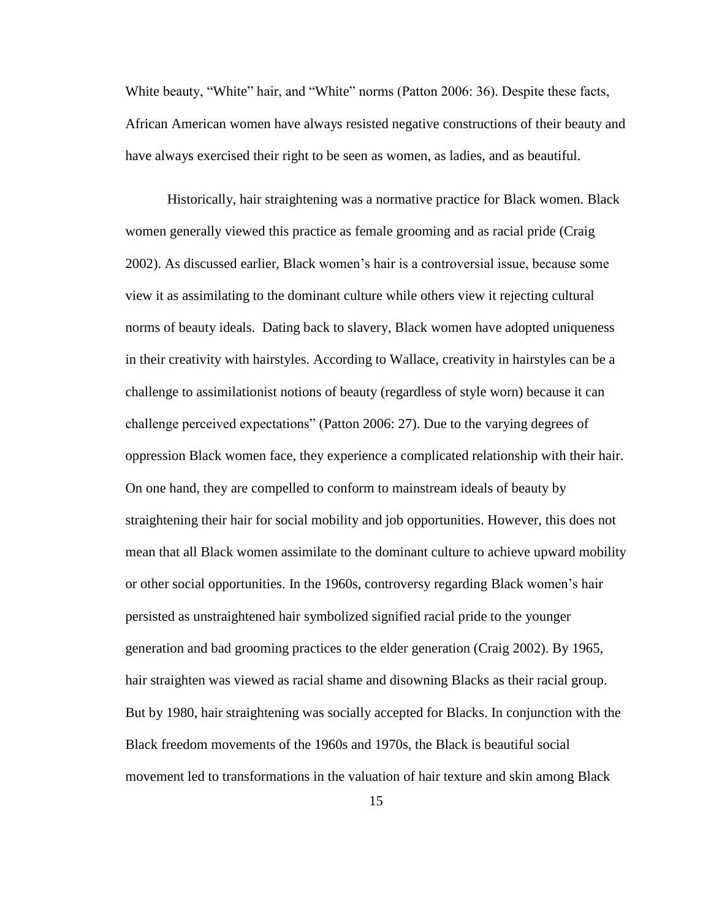White beauty, "White" hair, and "White" norms (Patton 2006: 36). Despite these facts, African American women have always resisted negative constructions of their beauty and have always exercised their right to be seen as women, as ladies, and as beautiful.

Historically, hair straightening was a normative practice for Black women. Black women generally viewed this practice as female grooming and as racial pride (Craig 2002). As discussed earlier, Black women"s hair is a controversial issue, because some view it as assimilating to the dominant culture while others view it rejecting cultural norms of beauty ideals. Dating back to slavery, Black women have adopted uniqueness in their creativity with hairstyles. According to Wallace, creativity in hairstyles can be a challenge to assimilationist notions of beauty (regardless of style worn) because it can challenge perceived expectations" (Patton 2006: 27). Due to the varying degrees of oppression Black women face, they experience a complicated relationship with their hair. On one hand, they are compelled to conform to mainstream ideals of beauty by straightening their hair for social mobility and job opportunities. However, this does not mean that all Black women assimilate to the dominant culture to achieve upward mobility or other social opportunities. In the 1960s, controversy regarding Black women"s hair persisted as unstraightened hair symbolized signified racial pride to the younger generation and bad grooming practices to the elder generation (Craig 2002). By 1965, hair straighten was viewed as racial shame and disowning Blacks as their racial group. But by 1980, hair straightening was socially accepted for Blacks. In conjunction with the Black freedom movements of the 1960s and 1970s, the Black is beautiful social movement led to transformations in the valuation of hair texture and skin among Black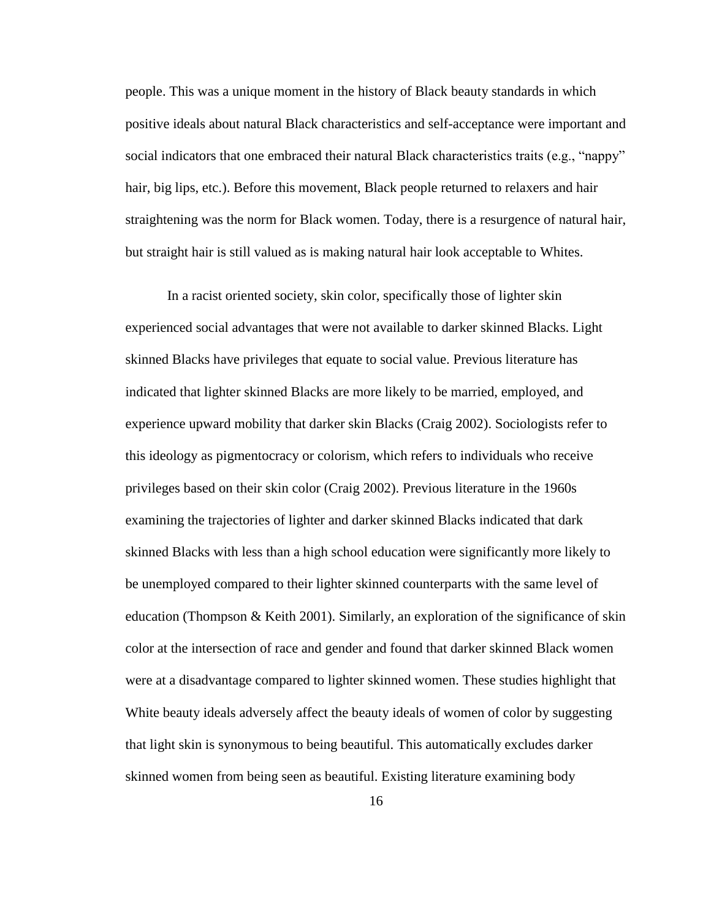people. This was a unique moment in the history of Black beauty standards in which positive ideals about natural Black characteristics and self-acceptance were important and social indicators that one embraced their natural Black characteristics traits (e.g., "nappy" hair, big lips, etc.). Before this movement, Black people returned to relaxers and hair straightening was the norm for Black women. Today, there is a resurgence of natural hair, but straight hair is still valued as is making natural hair look acceptable to Whites.

In a racist oriented society, skin color, specifically those of lighter skin experienced social advantages that were not available to darker skinned Blacks. Light skinned Blacks have privileges that equate to social value. Previous literature has indicated that lighter skinned Blacks are more likely to be married, employed, and experience upward mobility that darker skin Blacks (Craig 2002). Sociologists refer to this ideology as pigmentocracy or colorism, which refers to individuals who receive privileges based on their skin color (Craig 2002). Previous literature in the 1960s examining the trajectories of lighter and darker skinned Blacks indicated that dark skinned Blacks with less than a high school education were significantly more likely to be unemployed compared to their lighter skinned counterparts with the same level of education (Thompson & Keith 2001). Similarly, an exploration of the significance of skin color at the intersection of race and gender and found that darker skinned Black women were at a disadvantage compared to lighter skinned women. These studies highlight that White beauty ideals adversely affect the beauty ideals of women of color by suggesting that light skin is synonymous to being beautiful. This automatically excludes darker skinned women from being seen as beautiful. Existing literature examining body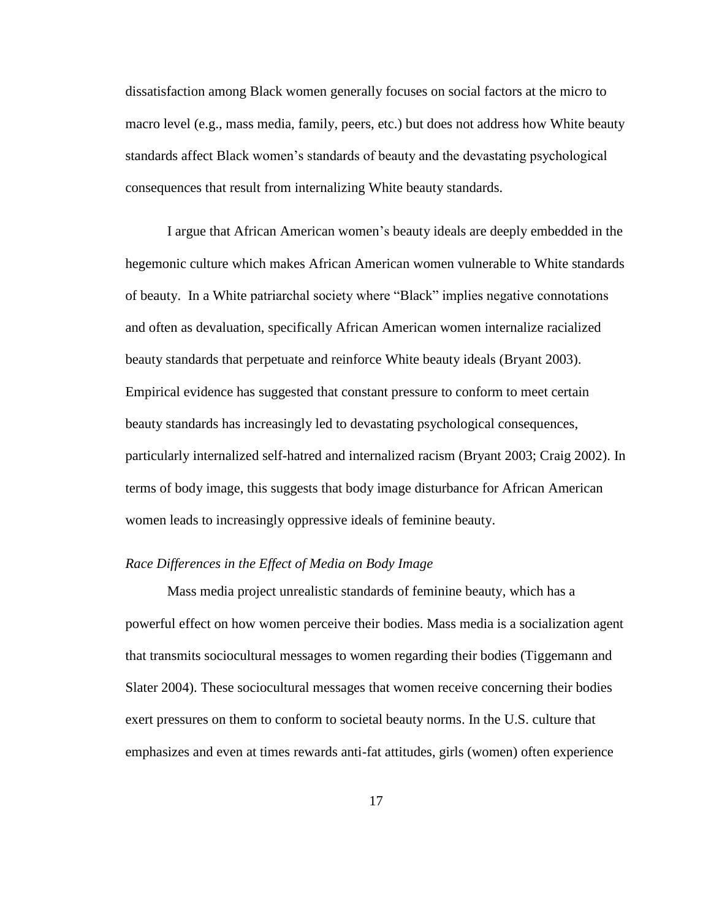dissatisfaction among Black women generally focuses on social factors at the micro to macro level (e.g., mass media, family, peers, etc.) but does not address how White beauty standards affect Black women"s standards of beauty and the devastating psychological consequences that result from internalizing White beauty standards.

I argue that African American women"s beauty ideals are deeply embedded in the hegemonic culture which makes African American women vulnerable to White standards of beauty. In a White patriarchal society where "Black" implies negative connotations and often as devaluation, specifically African American women internalize racialized beauty standards that perpetuate and reinforce White beauty ideals (Bryant 2003). Empirical evidence has suggested that constant pressure to conform to meet certain beauty standards has increasingly led to devastating psychological consequences, particularly internalized self-hatred and internalized racism (Bryant 2003; Craig 2002). In terms of body image, this suggests that body image disturbance for African American women leads to increasingly oppressive ideals of feminine beauty.

#### *Race Differences in the Effect of Media on Body Image*

Mass media project unrealistic standards of feminine beauty, which has a powerful effect on how women perceive their bodies. Mass media is a socialization agent that transmits sociocultural messages to women regarding their bodies (Tiggemann and Slater 2004). These sociocultural messages that women receive concerning their bodies exert pressures on them to conform to societal beauty norms. In the U.S. culture that emphasizes and even at times rewards anti-fat attitudes, girls (women) often experience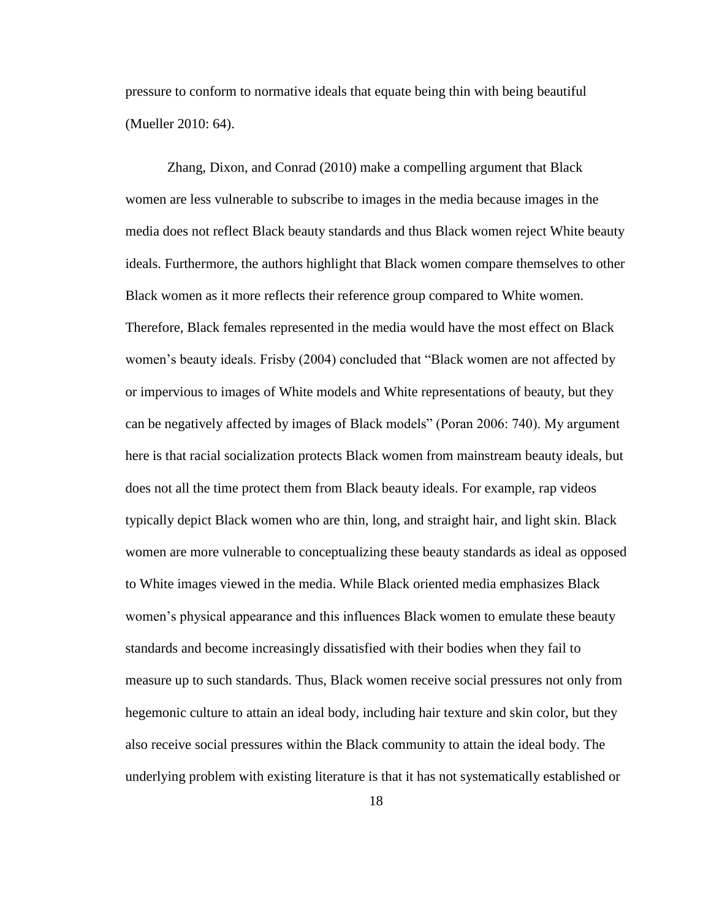pressure to conform to normative ideals that equate being thin with being beautiful (Mueller 2010: 64).

Zhang, Dixon, and Conrad (2010) make a compelling argument that Black women are less vulnerable to subscribe to images in the media because images in the media does not reflect Black beauty standards and thus Black women reject White beauty ideals. Furthermore, the authors highlight that Black women compare themselves to other Black women as it more reflects their reference group compared to White women. Therefore, Black females represented in the media would have the most effect on Black women's beauty ideals. Frisby (2004) concluded that "Black women are not affected by or impervious to images of White models and White representations of beauty, but they can be negatively affected by images of Black models" (Poran 2006: 740). My argument here is that racial socialization protects Black women from mainstream beauty ideals, but does not all the time protect them from Black beauty ideals. For example, rap videos typically depict Black women who are thin, long, and straight hair, and light skin. Black women are more vulnerable to conceptualizing these beauty standards as ideal as opposed to White images viewed in the media. While Black oriented media emphasizes Black women's physical appearance and this influences Black women to emulate these beauty standards and become increasingly dissatisfied with their bodies when they fail to measure up to such standards. Thus, Black women receive social pressures not only from hegemonic culture to attain an ideal body, including hair texture and skin color, but they also receive social pressures within the Black community to attain the ideal body. The underlying problem with existing literature is that it has not systematically established or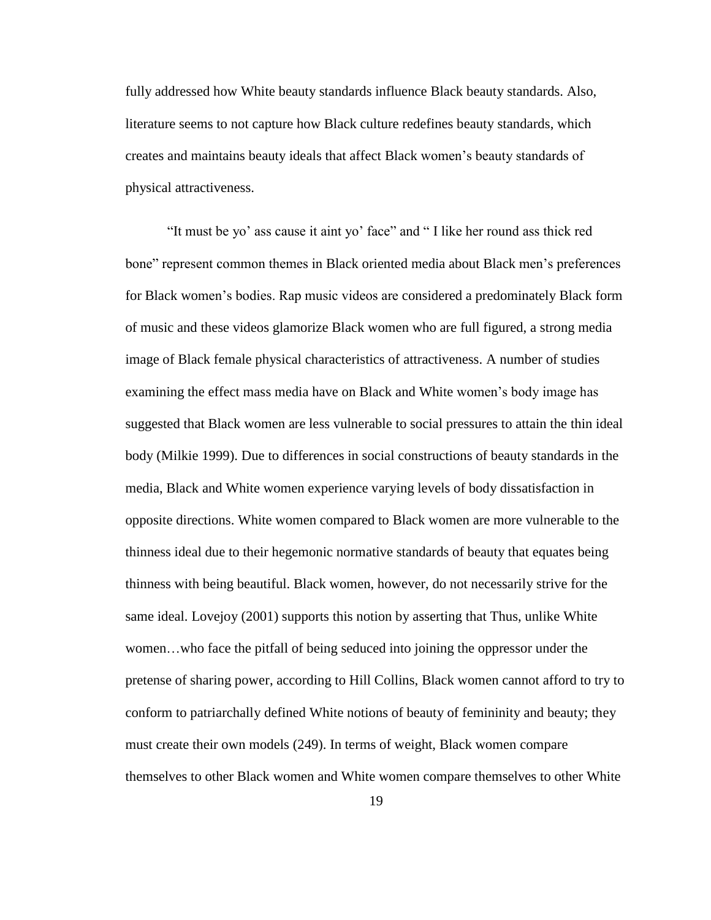fully addressed how White beauty standards influence Black beauty standards. Also, literature seems to not capture how Black culture redefines beauty standards, which creates and maintains beauty ideals that affect Black women"s beauty standards of physical attractiveness.

"It must be yo" ass cause it aint yo" face" and " I like her round ass thick red bone" represent common themes in Black oriented media about Black men"s preferences for Black women"s bodies. Rap music videos are considered a predominately Black form of music and these videos glamorize Black women who are full figured, a strong media image of Black female physical characteristics of attractiveness. A number of studies examining the effect mass media have on Black and White women"s body image has suggested that Black women are less vulnerable to social pressures to attain the thin ideal body (Milkie 1999). Due to differences in social constructions of beauty standards in the media, Black and White women experience varying levels of body dissatisfaction in opposite directions. White women compared to Black women are more vulnerable to the thinness ideal due to their hegemonic normative standards of beauty that equates being thinness with being beautiful. Black women, however, do not necessarily strive for the same ideal. Lovejoy (2001) supports this notion by asserting that Thus, unlike White women…who face the pitfall of being seduced into joining the oppressor under the pretense of sharing power, according to Hill Collins, Black women cannot afford to try to conform to patriarchally defined White notions of beauty of femininity and beauty; they must create their own models (249). In terms of weight, Black women compare themselves to other Black women and White women compare themselves to other White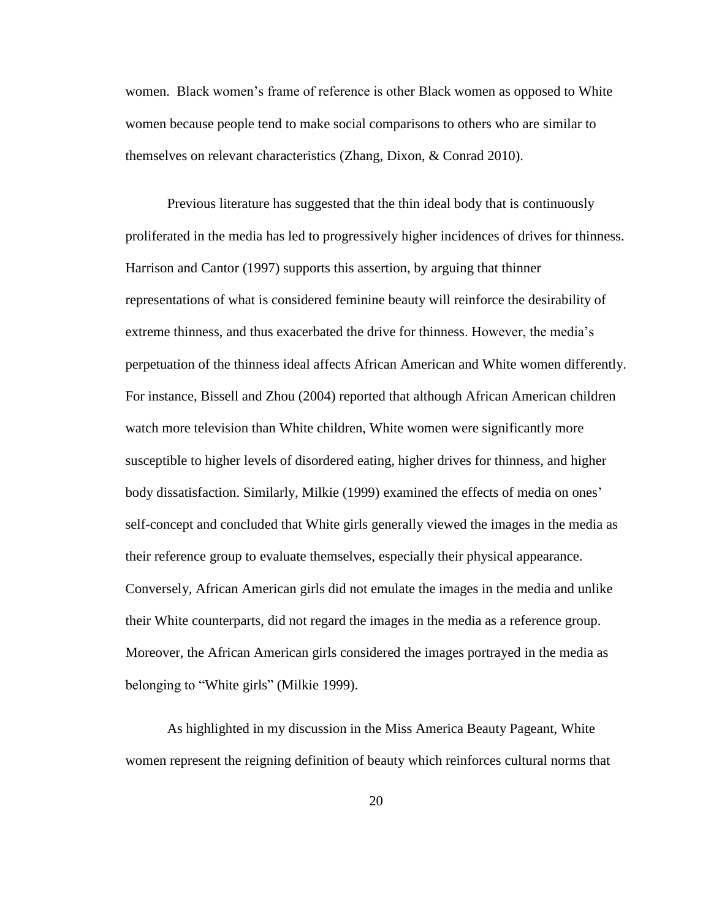women. Black women"s frame of reference is other Black women as opposed to White women because people tend to make social comparisons to others who are similar to themselves on relevant characteristics (Zhang, Dixon, & Conrad 2010).

Previous literature has suggested that the thin ideal body that is continuously proliferated in the media has led to progressively higher incidences of drives for thinness. Harrison and Cantor (1997) supports this assertion, by arguing that thinner representations of what is considered feminine beauty will reinforce the desirability of extreme thinness, and thus exacerbated the drive for thinness. However, the media"s perpetuation of the thinness ideal affects African American and White women differently. For instance, Bissell and Zhou (2004) reported that although African American children watch more television than White children, White women were significantly more susceptible to higher levels of disordered eating, higher drives for thinness, and higher body dissatisfaction. Similarly, Milkie (1999) examined the effects of media on ones' self-concept and concluded that White girls generally viewed the images in the media as their reference group to evaluate themselves, especially their physical appearance. Conversely, African American girls did not emulate the images in the media and unlike their White counterparts, did not regard the images in the media as a reference group. Moreover, the African American girls considered the images portrayed in the media as belonging to "White girls" (Milkie 1999).

As highlighted in my discussion in the Miss America Beauty Pageant, White women represent the reigning definition of beauty which reinforces cultural norms that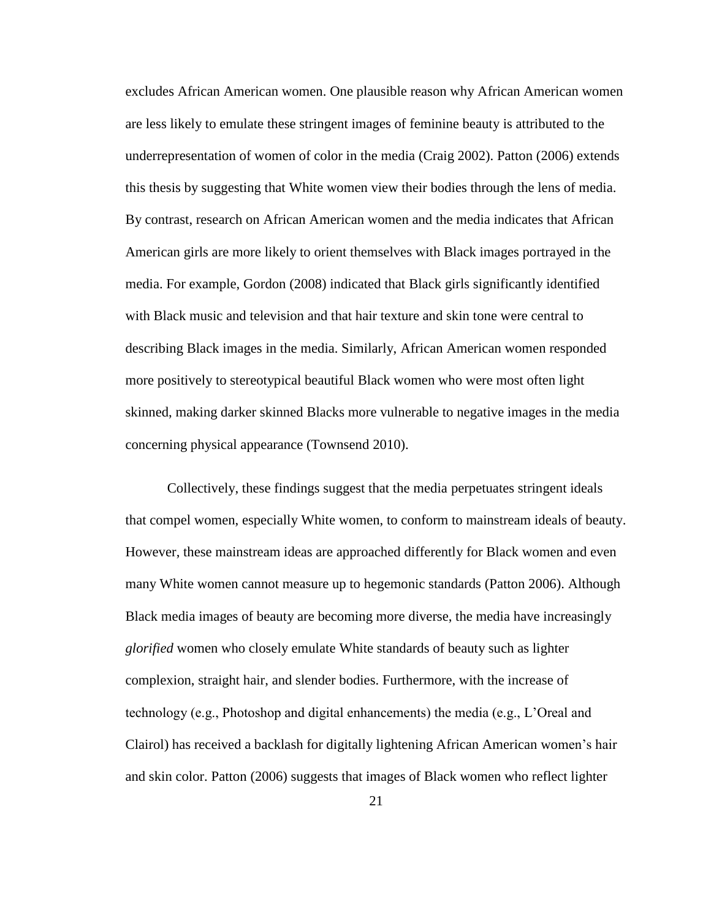excludes African American women. One plausible reason why African American women are less likely to emulate these stringent images of feminine beauty is attributed to the underrepresentation of women of color in the media (Craig 2002). Patton (2006) extends this thesis by suggesting that White women view their bodies through the lens of media. By contrast, research on African American women and the media indicates that African American girls are more likely to orient themselves with Black images portrayed in the media. For example, Gordon (2008) indicated that Black girls significantly identified with Black music and television and that hair texture and skin tone were central to describing Black images in the media. Similarly, African American women responded more positively to stereotypical beautiful Black women who were most often light skinned, making darker skinned Blacks more vulnerable to negative images in the media concerning physical appearance (Townsend 2010).

Collectively, these findings suggest that the media perpetuates stringent ideals that compel women, especially White women, to conform to mainstream ideals of beauty. However, these mainstream ideas are approached differently for Black women and even many White women cannot measure up to hegemonic standards (Patton 2006). Although Black media images of beauty are becoming more diverse, the media have increasingly *glorified* women who closely emulate White standards of beauty such as lighter complexion, straight hair, and slender bodies. Furthermore, with the increase of technology (e.g., Photoshop and digital enhancements) the media (e.g., L"Oreal and Clairol) has received a backlash for digitally lightening African American women"s hair and skin color. Patton (2006) suggests that images of Black women who reflect lighter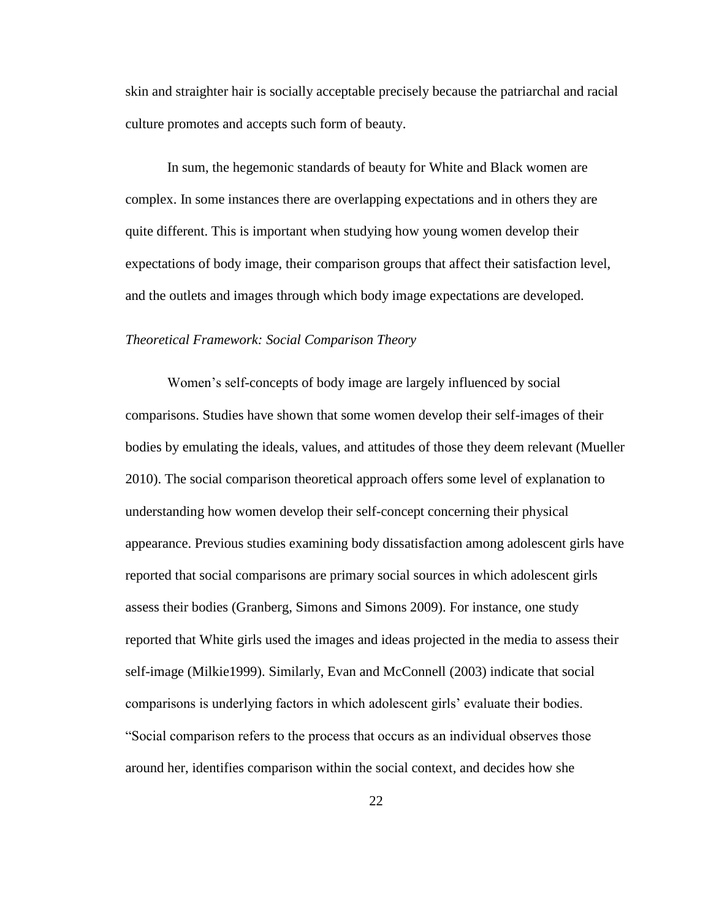skin and straighter hair is socially acceptable precisely because the patriarchal and racial culture promotes and accepts such form of beauty.

In sum, the hegemonic standards of beauty for White and Black women are complex. In some instances there are overlapping expectations and in others they are quite different. This is important when studying how young women develop their expectations of body image, their comparison groups that affect their satisfaction level, and the outlets and images through which body image expectations are developed.

#### *Theoretical Framework: Social Comparison Theory*

Women"s self-concepts of body image are largely influenced by social comparisons. Studies have shown that some women develop their self-images of their bodies by emulating the ideals, values, and attitudes of those they deem relevant (Mueller 2010). The social comparison theoretical approach offers some level of explanation to understanding how women develop their self-concept concerning their physical appearance. Previous studies examining body dissatisfaction among adolescent girls have reported that social comparisons are primary social sources in which adolescent girls assess their bodies (Granberg, Simons and Simons 2009). For instance, one study reported that White girls used the images and ideas projected in the media to assess their self-image (Milkie1999). Similarly, Evan and McConnell (2003) indicate that social comparisons is underlying factors in which adolescent girls" evaluate their bodies. "Social comparison refers to the process that occurs as an individual observes those around her, identifies comparison within the social context, and decides how she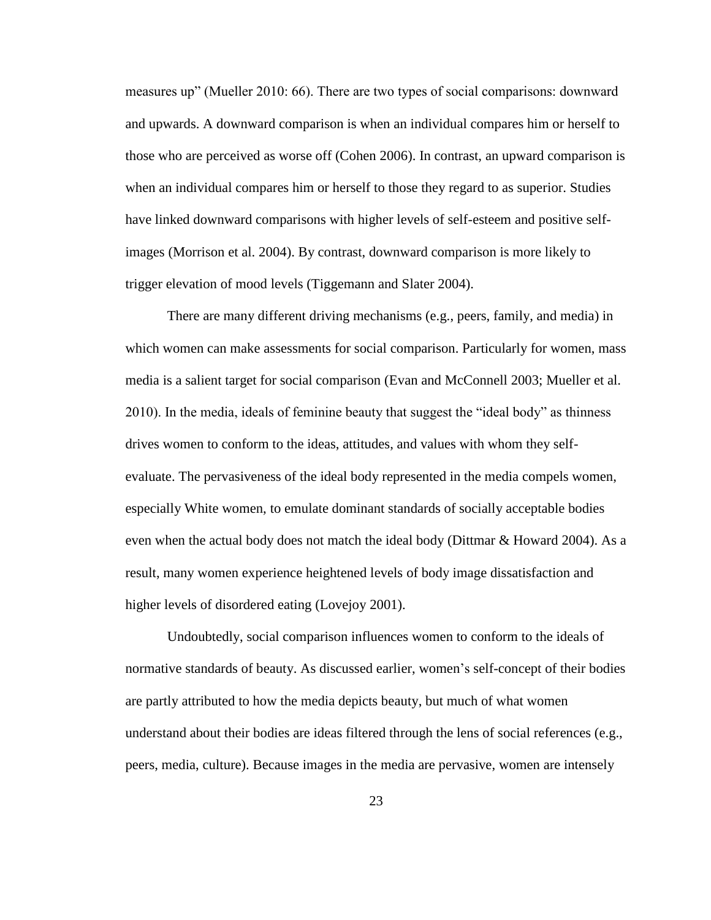measures up" (Mueller 2010: 66). There are two types of social comparisons: downward and upwards. A downward comparison is when an individual compares him or herself to those who are perceived as worse off (Cohen 2006). In contrast, an upward comparison is when an individual compares him or herself to those they regard to as superior. Studies have linked downward comparisons with higher levels of self-esteem and positive selfimages (Morrison et al. 2004). By contrast, downward comparison is more likely to trigger elevation of mood levels (Tiggemann and Slater 2004).

There are many different driving mechanisms (e.g., peers, family, and media) in which women can make assessments for social comparison. Particularly for women, mass media is a salient target for social comparison (Evan and McConnell 2003; Mueller et al. 2010). In the media, ideals of feminine beauty that suggest the "ideal body" as thinness drives women to conform to the ideas, attitudes, and values with whom they selfevaluate. The pervasiveness of the ideal body represented in the media compels women, especially White women, to emulate dominant standards of socially acceptable bodies even when the actual body does not match the ideal body (Dittmar & Howard 2004). As a result, many women experience heightened levels of body image dissatisfaction and higher levels of disordered eating (Lovejoy 2001).

Undoubtedly, social comparison influences women to conform to the ideals of normative standards of beauty. As discussed earlier, women"s self-concept of their bodies are partly attributed to how the media depicts beauty, but much of what women understand about their bodies are ideas filtered through the lens of social references (e.g., peers, media, culture). Because images in the media are pervasive, women are intensely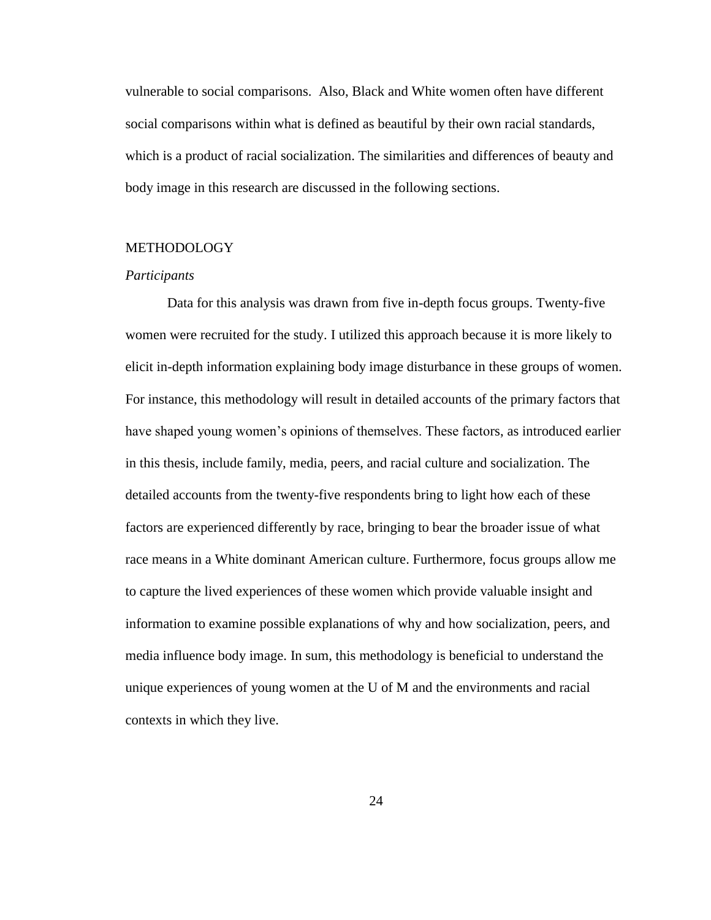vulnerable to social comparisons. Also, Black and White women often have different social comparisons within what is defined as beautiful by their own racial standards, which is a product of racial socialization. The similarities and differences of beauty and body image in this research are discussed in the following sections.

#### **METHODOLOGY**

#### *Participants*

Data for this analysis was drawn from five in-depth focus groups. Twenty-five women were recruited for the study. I utilized this approach because it is more likely to elicit in-depth information explaining body image disturbance in these groups of women. For instance, this methodology will result in detailed accounts of the primary factors that have shaped young women's opinions of themselves. These factors, as introduced earlier in this thesis, include family, media, peers, and racial culture and socialization. The detailed accounts from the twenty-five respondents bring to light how each of these factors are experienced differently by race, bringing to bear the broader issue of what race means in a White dominant American culture. Furthermore, focus groups allow me to capture the lived experiences of these women which provide valuable insight and information to examine possible explanations of why and how socialization, peers, and media influence body image. In sum, this methodology is beneficial to understand the unique experiences of young women at the U of M and the environments and racial contexts in which they live.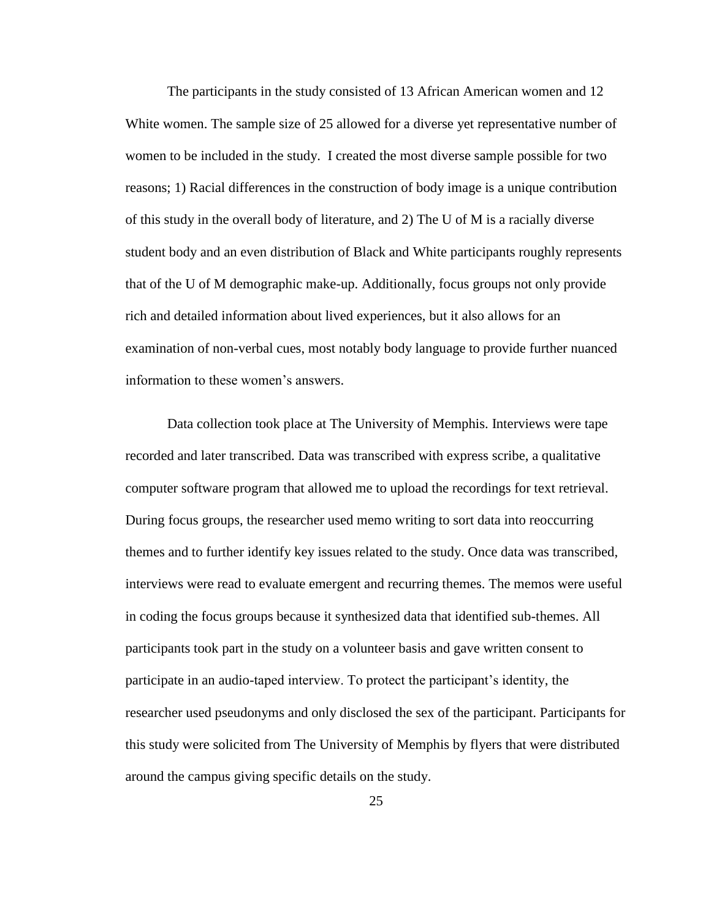The participants in the study consisted of 13 African American women and 12 White women. The sample size of 25 allowed for a diverse yet representative number of women to be included in the study. I created the most diverse sample possible for two reasons; 1) Racial differences in the construction of body image is a unique contribution of this study in the overall body of literature, and 2) The U of M is a racially diverse student body and an even distribution of Black and White participants roughly represents that of the U of M demographic make-up. Additionally, focus groups not only provide rich and detailed information about lived experiences, but it also allows for an examination of non-verbal cues, most notably body language to provide further nuanced information to these women's answers.

Data collection took place at The University of Memphis. Interviews were tape recorded and later transcribed. Data was transcribed with express scribe, a qualitative computer software program that allowed me to upload the recordings for text retrieval. During focus groups, the researcher used memo writing to sort data into reoccurring themes and to further identify key issues related to the study. Once data was transcribed, interviews were read to evaluate emergent and recurring themes. The memos were useful in coding the focus groups because it synthesized data that identified sub-themes. All participants took part in the study on a volunteer basis and gave written consent to participate in an audio-taped interview. To protect the participant"s identity, the researcher used pseudonyms and only disclosed the sex of the participant. Participants for this study were solicited from The University of Memphis by flyers that were distributed around the campus giving specific details on the study.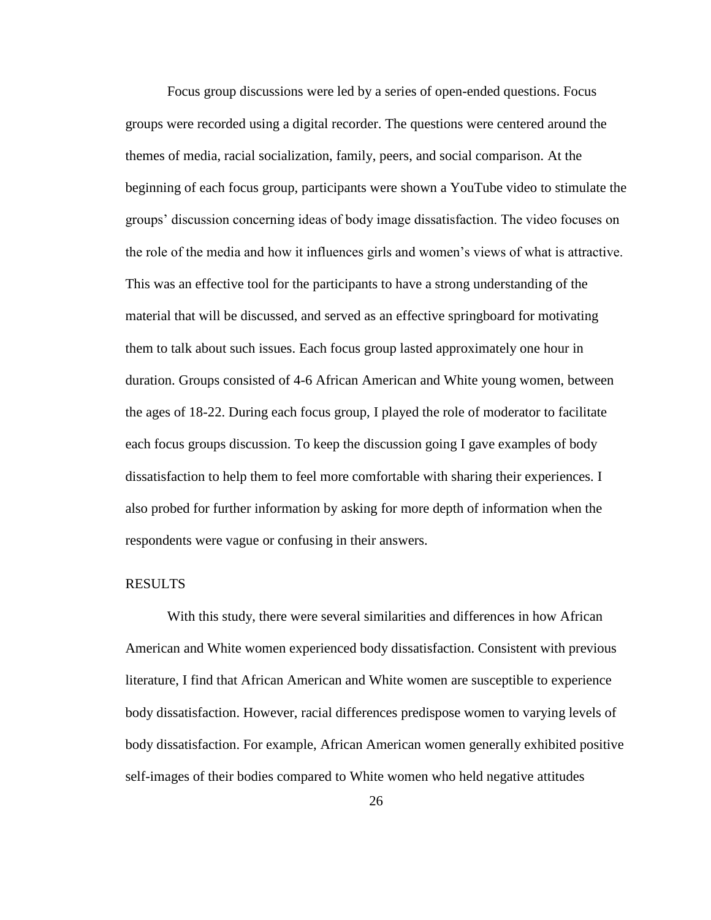Focus group discussions were led by a series of open-ended questions. Focus groups were recorded using a digital recorder. The questions were centered around the themes of media, racial socialization, family, peers, and social comparison. At the beginning of each focus group, participants were shown a YouTube video to stimulate the groups" discussion concerning ideas of body image dissatisfaction. The video focuses on the role of the media and how it influences girls and women"s views of what is attractive. This was an effective tool for the participants to have a strong understanding of the material that will be discussed, and served as an effective springboard for motivating them to talk about such issues. Each focus group lasted approximately one hour in duration. Groups consisted of 4-6 African American and White young women, between the ages of 18-22. During each focus group, I played the role of moderator to facilitate each focus groups discussion. To keep the discussion going I gave examples of body dissatisfaction to help them to feel more comfortable with sharing their experiences. I also probed for further information by asking for more depth of information when the respondents were vague or confusing in their answers.

#### RESULTS

With this study, there were several similarities and differences in how African American and White women experienced body dissatisfaction. Consistent with previous literature, I find that African American and White women are susceptible to experience body dissatisfaction. However, racial differences predispose women to varying levels of body dissatisfaction. For example, African American women generally exhibited positive self-images of their bodies compared to White women who held negative attitudes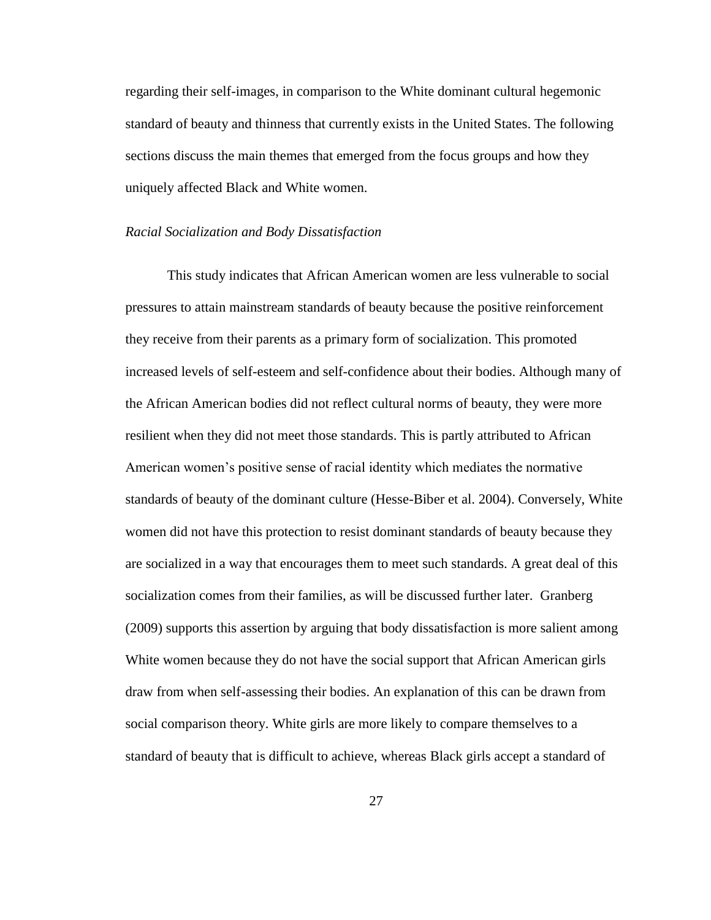regarding their self-images, in comparison to the White dominant cultural hegemonic standard of beauty and thinness that currently exists in the United States. The following sections discuss the main themes that emerged from the focus groups and how they uniquely affected Black and White women.

#### *Racial Socialization and Body Dissatisfaction*

This study indicates that African American women are less vulnerable to social pressures to attain mainstream standards of beauty because the positive reinforcement they receive from their parents as a primary form of socialization. This promoted increased levels of self-esteem and self-confidence about their bodies. Although many of the African American bodies did not reflect cultural norms of beauty, they were more resilient when they did not meet those standards. This is partly attributed to African American women"s positive sense of racial identity which mediates the normative standards of beauty of the dominant culture (Hesse-Biber et al. 2004). Conversely, White women did not have this protection to resist dominant standards of beauty because they are socialized in a way that encourages them to meet such standards. A great deal of this socialization comes from their families, as will be discussed further later. Granberg (2009) supports this assertion by arguing that body dissatisfaction is more salient among White women because they do not have the social support that African American girls draw from when self-assessing their bodies. An explanation of this can be drawn from social comparison theory. White girls are more likely to compare themselves to a standard of beauty that is difficult to achieve, whereas Black girls accept a standard of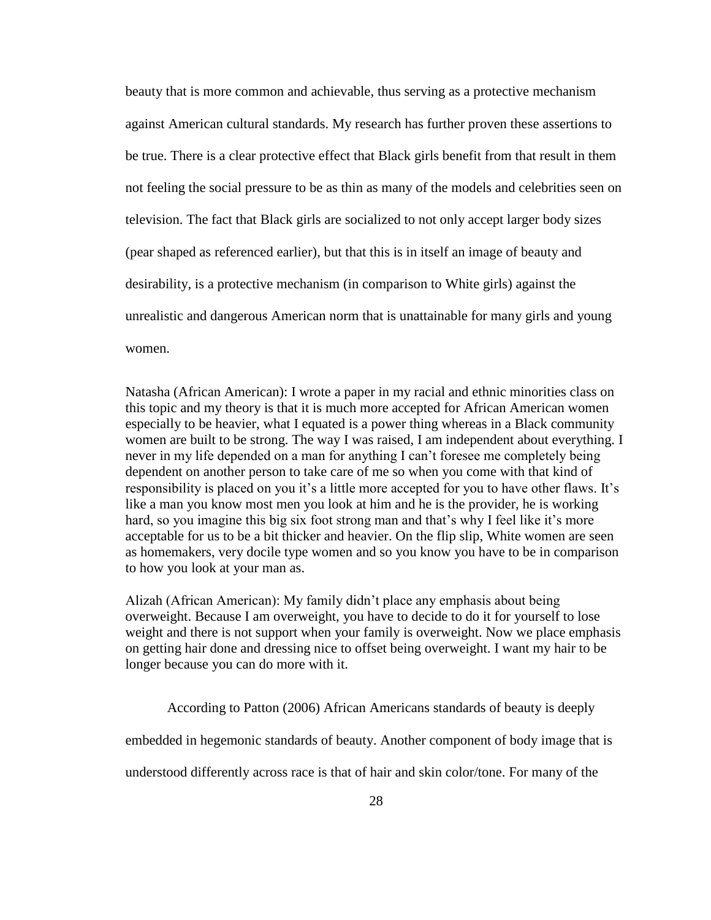beauty that is more common and achievable, thus serving as a protective mechanism against American cultural standards. My research has further proven these assertions to be true. There is a clear protective effect that Black girls benefit from that result in them not feeling the social pressure to be as thin as many of the models and celebrities seen on television. The fact that Black girls are socialized to not only accept larger body sizes (pear shaped as referenced earlier), but that this is in itself an image of beauty and desirability, is a protective mechanism (in comparison to White girls) against the unrealistic and dangerous American norm that is unattainable for many girls and young women.

Natasha (African American): I wrote a paper in my racial and ethnic minorities class on this topic and my theory is that it is much more accepted for African American women especially to be heavier, what I equated is a power thing whereas in a Black community women are built to be strong. The way I was raised, I am independent about everything. I never in my life depended on a man for anything I can't foresee me completely being dependent on another person to take care of me so when you come with that kind of responsibility is placed on you it's a little more accepted for you to have other flaws. It's like a man you know most men you look at him and he is the provider, he is working hard, so you imagine this big six foot strong man and that's why I feel like it's more acceptable for us to be a bit thicker and heavier. On the flip slip, White women are seen as homemakers, very docile type women and so you know you have to be in comparison to how you look at your man as.

Alizah (African American): My family didn"t place any emphasis about being overweight. Because I am overweight, you have to decide to do it for yourself to lose weight and there is not support when your family is overweight. Now we place emphasis on getting hair done and dressing nice to offset being overweight. I want my hair to be longer because you can do more with it.

According to Patton (2006) African Americans standards of beauty is deeply

embedded in hegemonic standards of beauty. Another component of body image that is

understood differently across race is that of hair and skin color/tone. For many of the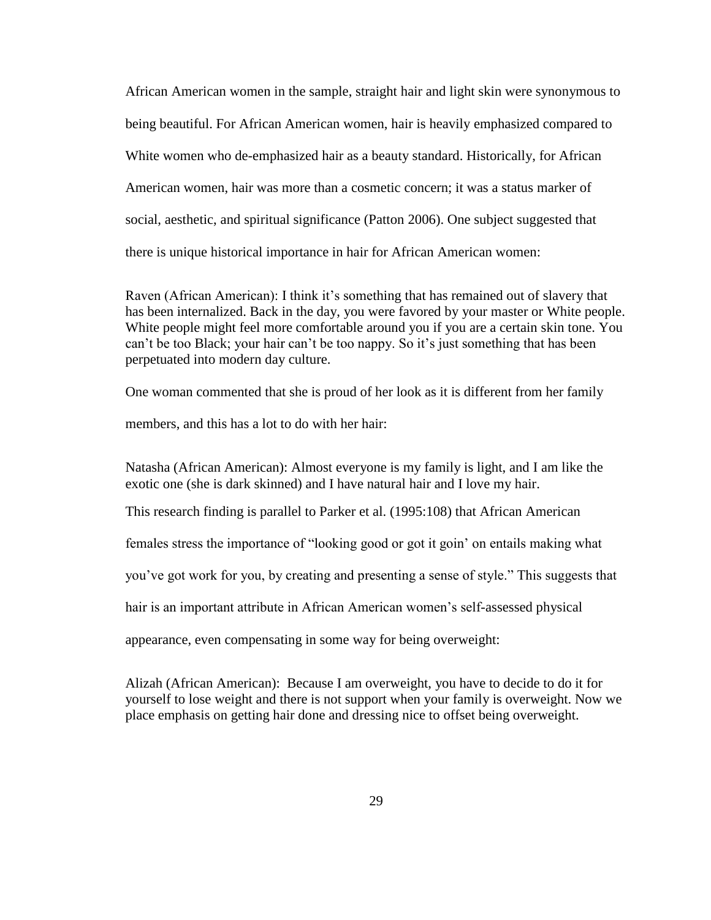African American women in the sample, straight hair and light skin were synonymous to being beautiful. For African American women, hair is heavily emphasized compared to White women who de-emphasized hair as a beauty standard. Historically, for African American women, hair was more than a cosmetic concern; it was a status marker of social, aesthetic, and spiritual significance (Patton 2006). One subject suggested that there is unique historical importance in hair for African American women:

Raven (African American): I think it's something that has remained out of slavery that has been internalized. Back in the day, you were favored by your master or White people. White people might feel more comfortable around you if you are a certain skin tone. You can't be too Black; your hair can't be too nappy. So it's just something that has been perpetuated into modern day culture.

One woman commented that she is proud of her look as it is different from her family

members, and this has a lot to do with her hair:

Natasha (African American): Almost everyone is my family is light, and I am like the exotic one (she is dark skinned) and I have natural hair and I love my hair.

This research finding is parallel to Parker et al. (1995:108) that African American

females stress the importance of "looking good or got it goin" on entails making what

you"ve got work for you, by creating and presenting a sense of style." This suggests that

hair is an important attribute in African American women"s self-assessed physical

appearance, even compensating in some way for being overweight:

Alizah (African American): Because I am overweight, you have to decide to do it for yourself to lose weight and there is not support when your family is overweight. Now we place emphasis on getting hair done and dressing nice to offset being overweight.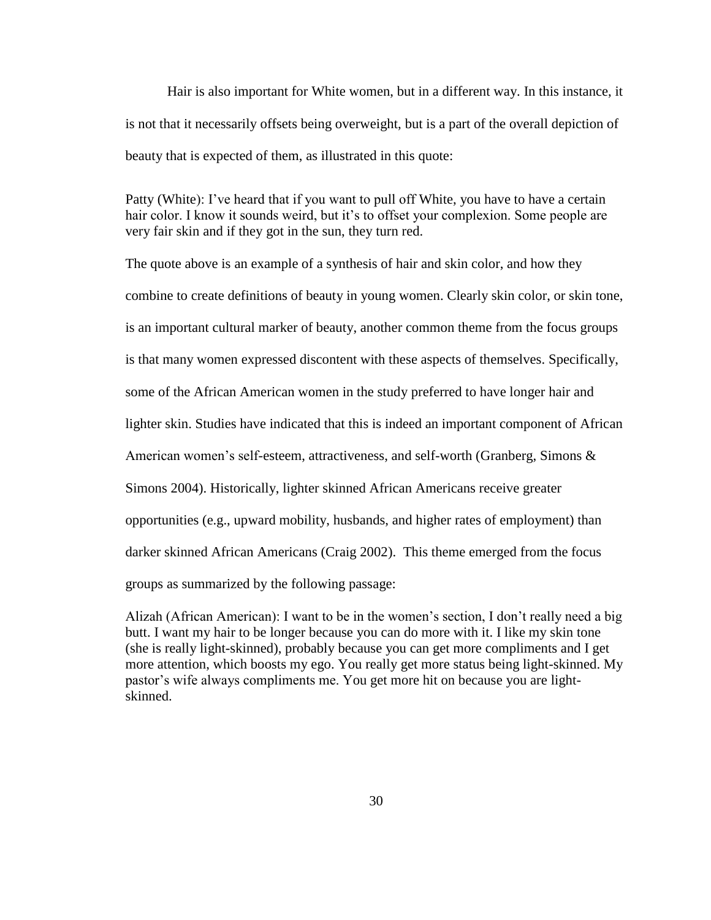Hair is also important for White women, but in a different way. In this instance, it is not that it necessarily offsets being overweight, but is a part of the overall depiction of beauty that is expected of them, as illustrated in this quote:

Patty (White): I've heard that if you want to pull off White, you have to have a certain hair color. I know it sounds weird, but it's to offset your complexion. Some people are very fair skin and if they got in the sun, they turn red.

The quote above is an example of a synthesis of hair and skin color, and how they combine to create definitions of beauty in young women. Clearly skin color, or skin tone, is an important cultural marker of beauty, another common theme from the focus groups is that many women expressed discontent with these aspects of themselves. Specifically, some of the African American women in the study preferred to have longer hair and lighter skin. Studies have indicated that this is indeed an important component of African American women's self-esteem, attractiveness, and self-worth (Granberg, Simons  $\&$ Simons 2004). Historically, lighter skinned African Americans receive greater opportunities (e.g., upward mobility, husbands, and higher rates of employment) than darker skinned African Americans (Craig 2002). This theme emerged from the focus groups as summarized by the following passage:

Alizah (African American): I want to be in the women"s section, I don"t really need a big butt. I want my hair to be longer because you can do more with it. I like my skin tone (she is really light-skinned), probably because you can get more compliments and I get more attention, which boosts my ego. You really get more status being light-skinned. My pastor"s wife always compliments me. You get more hit on because you are lightskinned.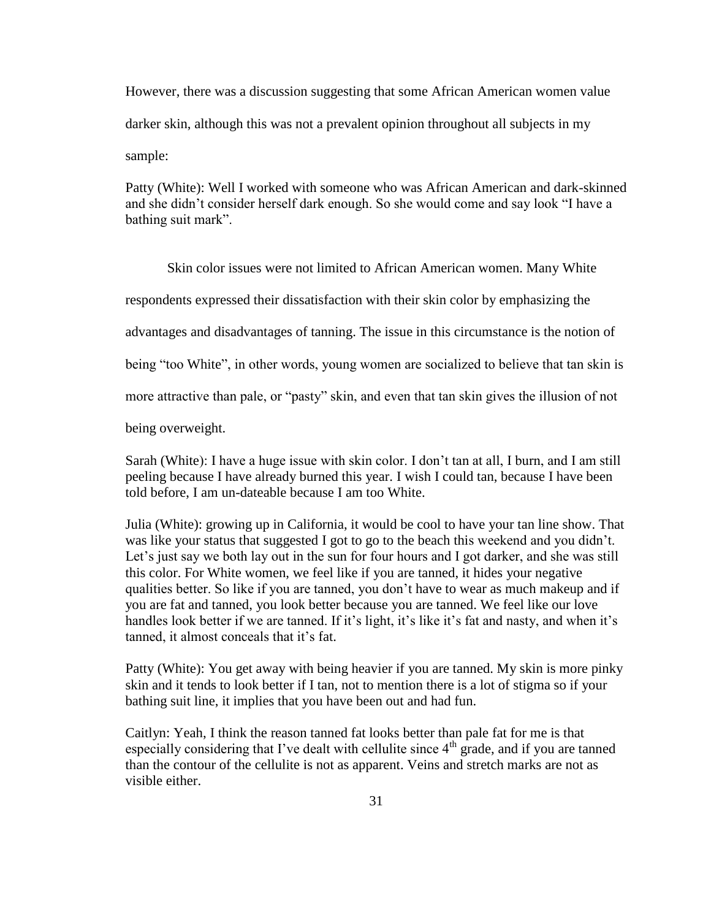However, there was a discussion suggesting that some African American women value darker skin, although this was not a prevalent opinion throughout all subjects in my sample:

Patty (White): Well I worked with someone who was African American and dark-skinned and she didn"t consider herself dark enough. So she would come and say look "I have a bathing suit mark".

Skin color issues were not limited to African American women. Many White respondents expressed their dissatisfaction with their skin color by emphasizing the advantages and disadvantages of tanning. The issue in this circumstance is the notion of being "too White", in other words, young women are socialized to believe that tan skin is more attractive than pale, or "pasty" skin, and even that tan skin gives the illusion of not being overweight.

Sarah (White): I have a huge issue with skin color. I don"t tan at all, I burn, and I am still peeling because I have already burned this year. I wish I could tan, because I have been told before, I am un-dateable because I am too White.

Julia (White): growing up in California, it would be cool to have your tan line show. That was like your status that suggested I got to go to the beach this weekend and you didn"t. Let's just say we both lay out in the sun for four hours and I got darker, and she was still this color. For White women, we feel like if you are tanned, it hides your negative qualities better. So like if you are tanned, you don"t have to wear as much makeup and if you are fat and tanned, you look better because you are tanned. We feel like our love handles look better if we are tanned. If it's light, it's like it's fat and nasty, and when it's tanned, it almost conceals that it"s fat.

Patty (White): You get away with being heavier if you are tanned. My skin is more pinky skin and it tends to look better if I tan, not to mention there is a lot of stigma so if your bathing suit line, it implies that you have been out and had fun.

Caitlyn: Yeah, I think the reason tanned fat looks better than pale fat for me is that especially considering that I've dealt with cellulite since  $4<sup>th</sup>$  grade, and if you are tanned than the contour of the cellulite is not as apparent. Veins and stretch marks are not as visible either.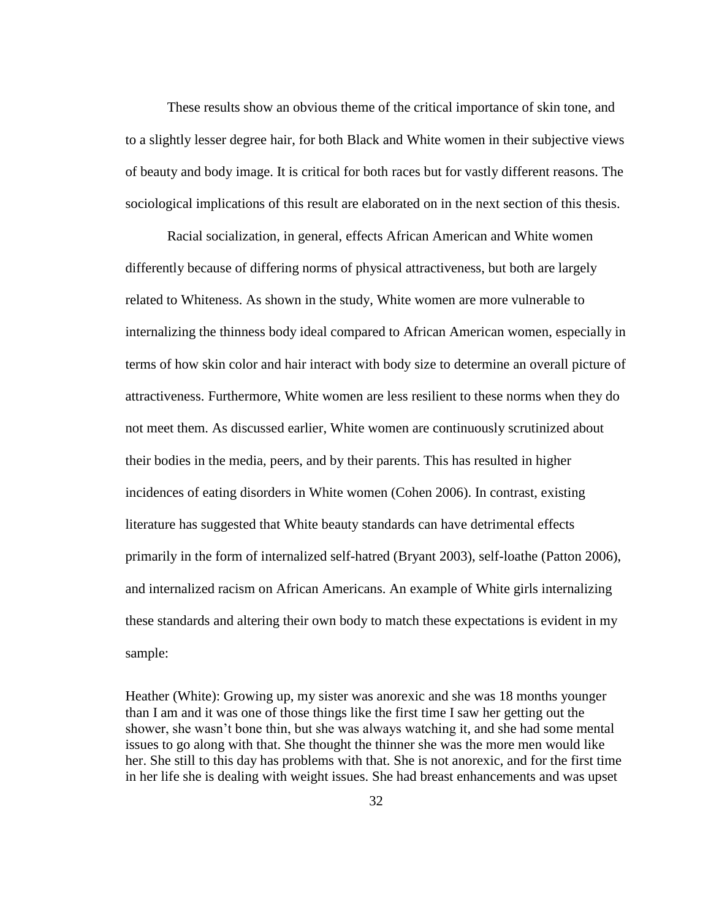These results show an obvious theme of the critical importance of skin tone, and to a slightly lesser degree hair, for both Black and White women in their subjective views of beauty and body image. It is critical for both races but for vastly different reasons. The sociological implications of this result are elaborated on in the next section of this thesis.

Racial socialization, in general, effects African American and White women differently because of differing norms of physical attractiveness, but both are largely related to Whiteness. As shown in the study, White women are more vulnerable to internalizing the thinness body ideal compared to African American women, especially in terms of how skin color and hair interact with body size to determine an overall picture of attractiveness. Furthermore, White women are less resilient to these norms when they do not meet them. As discussed earlier, White women are continuously scrutinized about their bodies in the media, peers, and by their parents. This has resulted in higher incidences of eating disorders in White women (Cohen 2006). In contrast, existing literature has suggested that White beauty standards can have detrimental effects primarily in the form of internalized self-hatred (Bryant 2003), self-loathe (Patton 2006), and internalized racism on African Americans. An example of White girls internalizing these standards and altering their own body to match these expectations is evident in my sample:

Heather (White): Growing up, my sister was anorexic and she was 18 months younger than I am and it was one of those things like the first time I saw her getting out the shower, she wasn't bone thin, but she was always watching it, and she had some mental issues to go along with that. She thought the thinner she was the more men would like her. She still to this day has problems with that. She is not anorexic, and for the first time in her life she is dealing with weight issues. She had breast enhancements and was upset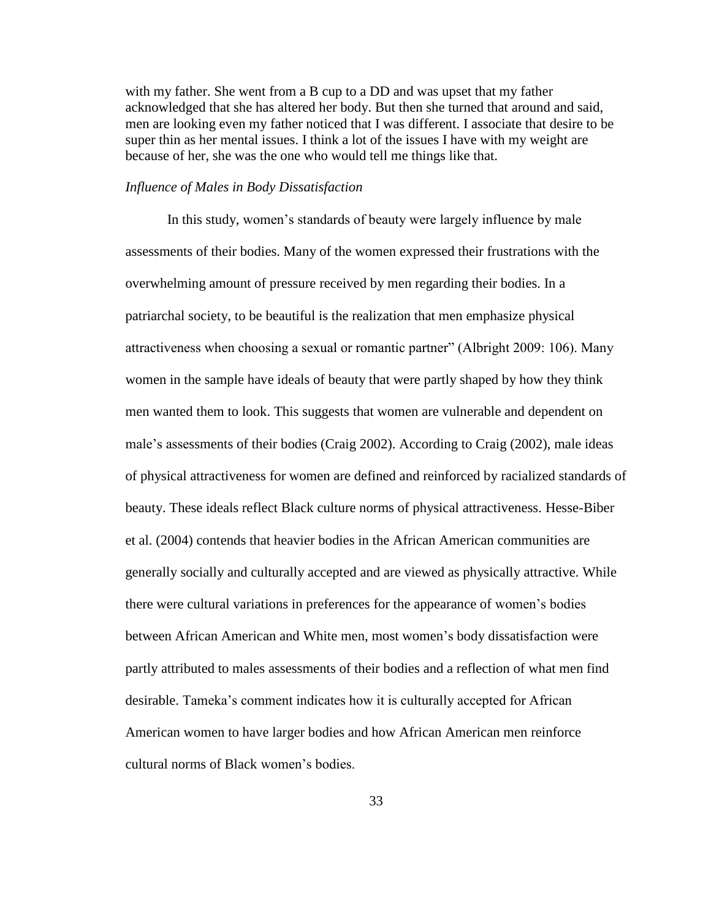with my father. She went from a B cup to a DD and was upset that my father acknowledged that she has altered her body. But then she turned that around and said, men are looking even my father noticed that I was different. I associate that desire to be super thin as her mental issues. I think a lot of the issues I have with my weight are because of her, she was the one who would tell me things like that.

#### *Influence of Males in Body Dissatisfaction*

In this study, women"s standards of beauty were largely influence by male assessments of their bodies. Many of the women expressed their frustrations with the overwhelming amount of pressure received by men regarding their bodies. In a patriarchal society, to be beautiful is the realization that men emphasize physical attractiveness when choosing a sexual or romantic partner" (Albright 2009: 106). Many women in the sample have ideals of beauty that were partly shaped by how they think men wanted them to look. This suggests that women are vulnerable and dependent on male's assessments of their bodies (Craig 2002). According to Craig (2002), male ideas of physical attractiveness for women are defined and reinforced by racialized standards of beauty. These ideals reflect Black culture norms of physical attractiveness. Hesse-Biber et al. (2004) contends that heavier bodies in the African American communities are generally socially and culturally accepted and are viewed as physically attractive. While there were cultural variations in preferences for the appearance of women"s bodies between African American and White men, most women"s body dissatisfaction were partly attributed to males assessments of their bodies and a reflection of what men find desirable. Tameka"s comment indicates how it is culturally accepted for African American women to have larger bodies and how African American men reinforce cultural norms of Black women"s bodies.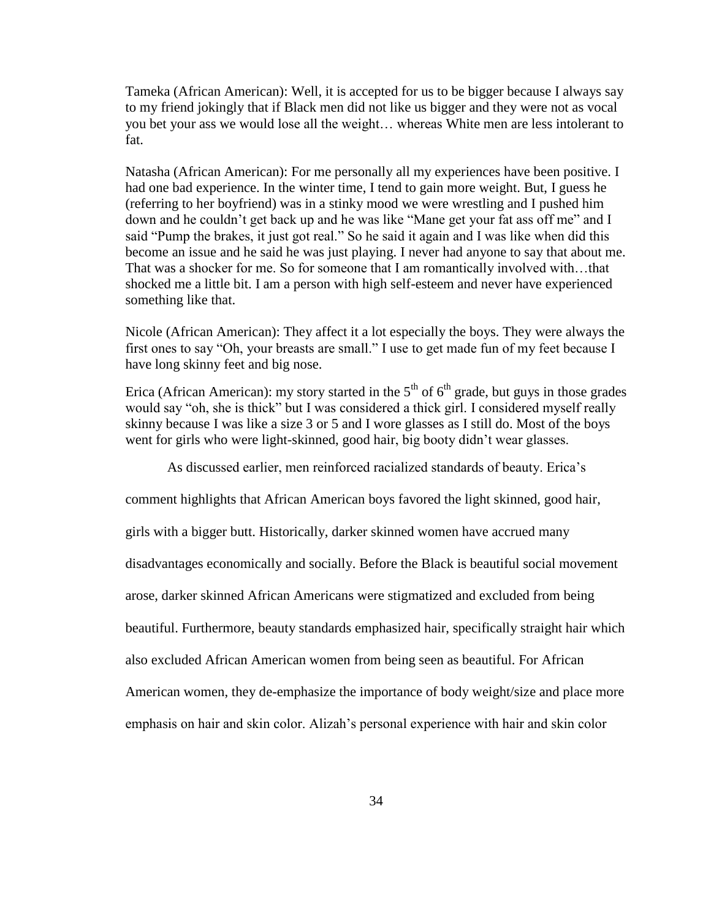Tameka (African American): Well, it is accepted for us to be bigger because I always say to my friend jokingly that if Black men did not like us bigger and they were not as vocal you bet your ass we would lose all the weight… whereas White men are less intolerant to fat.

Natasha (African American): For me personally all my experiences have been positive. I had one bad experience. In the winter time, I tend to gain more weight. But, I guess he (referring to her boyfriend) was in a stinky mood we were wrestling and I pushed him down and he couldn"t get back up and he was like "Mane get your fat ass off me" and I said "Pump the brakes, it just got real." So he said it again and I was like when did this become an issue and he said he was just playing. I never had anyone to say that about me. That was a shocker for me. So for someone that I am romantically involved with…that shocked me a little bit. I am a person with high self-esteem and never have experienced something like that.

Nicole (African American): They affect it a lot especially the boys. They were always the first ones to say "Oh, your breasts are small." I use to get made fun of my feet because I have long skinny feet and big nose.

Erica (African American): my story started in the  $5<sup>th</sup>$  of  $6<sup>th</sup>$  grade, but guys in those grades would say "oh, she is thick" but I was considered a thick girl. I considered myself really skinny because I was like a size 3 or 5 and I wore glasses as I still do. Most of the boys went for girls who were light-skinned, good hair, big booty didn't wear glasses.

As discussed earlier, men reinforced racialized standards of beauty. Erica"s

comment highlights that African American boys favored the light skinned, good hair,

girls with a bigger butt. Historically, darker skinned women have accrued many

disadvantages economically and socially. Before the Black is beautiful social movement

arose, darker skinned African Americans were stigmatized and excluded from being

beautiful. Furthermore, beauty standards emphasized hair, specifically straight hair which

also excluded African American women from being seen as beautiful. For African

American women, they de-emphasize the importance of body weight/size and place more

emphasis on hair and skin color. Alizah"s personal experience with hair and skin color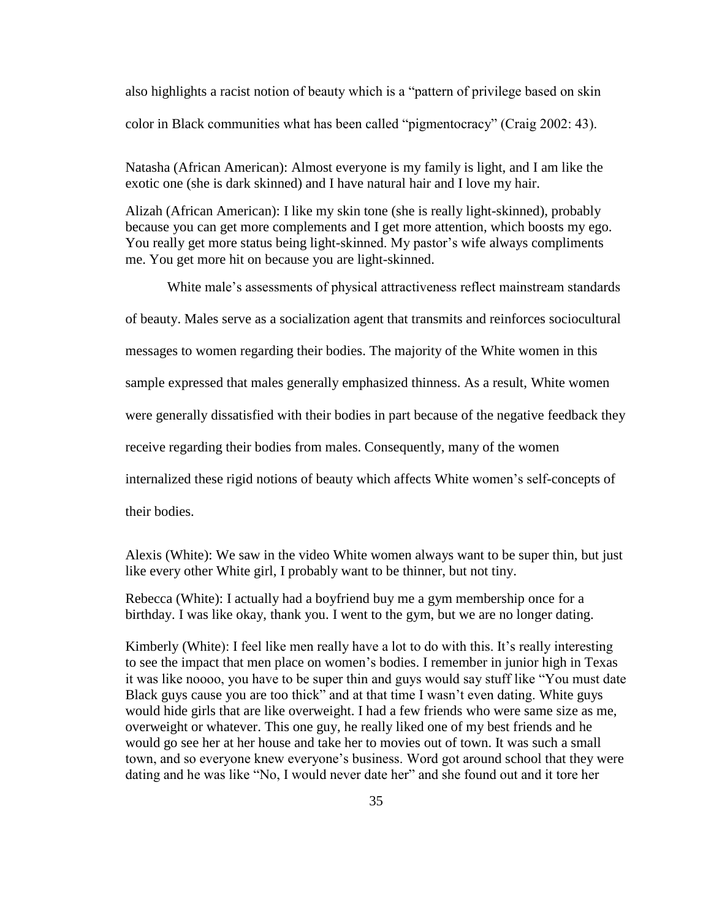also highlights a racist notion of beauty which is a "pattern of privilege based on skin color in Black communities what has been called "pigmentocracy" (Craig 2002: 43).

Natasha (African American): Almost everyone is my family is light, and I am like the exotic one (she is dark skinned) and I have natural hair and I love my hair.

Alizah (African American): I like my skin tone (she is really light-skinned), probably because you can get more complements and I get more attention, which boosts my ego. You really get more status being light-skinned. My pastor's wife always compliments me. You get more hit on because you are light-skinned.

White male's assessments of physical attractiveness reflect mainstream standards

of beauty. Males serve as a socialization agent that transmits and reinforces sociocultural

messages to women regarding their bodies. The majority of the White women in this

sample expressed that males generally emphasized thinness. As a result, White women

were generally dissatisfied with their bodies in part because of the negative feedback they

receive regarding their bodies from males. Consequently, many of the women

internalized these rigid notions of beauty which affects White women"s self-concepts of

their bodies.

Alexis (White): We saw in the video White women always want to be super thin, but just like every other White girl, I probably want to be thinner, but not tiny.

Rebecca (White): I actually had a boyfriend buy me a gym membership once for a birthday. I was like okay, thank you. I went to the gym, but we are no longer dating.

Kimberly (White): I feel like men really have a lot to do with this. It"s really interesting to see the impact that men place on women"s bodies. I remember in junior high in Texas it was like noooo, you have to be super thin and guys would say stuff like "You must date Black guys cause you are too thick" and at that time I wasn't even dating. White guys would hide girls that are like overweight. I had a few friends who were same size as me, overweight or whatever. This one guy, he really liked one of my best friends and he would go see her at her house and take her to movies out of town. It was such a small town, and so everyone knew everyone"s business. Word got around school that they were dating and he was like "No, I would never date her" and she found out and it tore her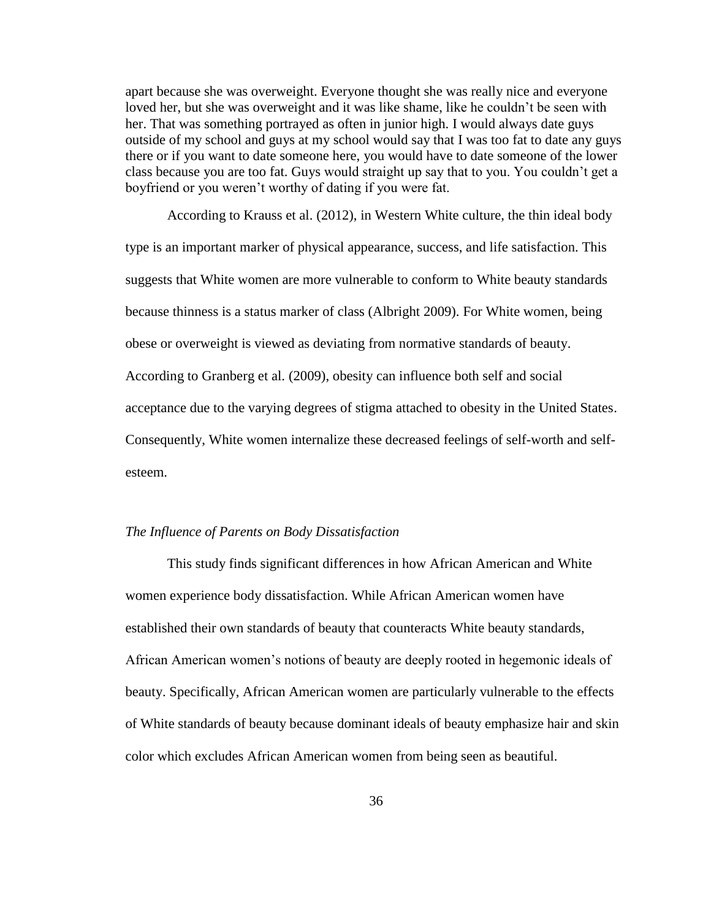apart because she was overweight. Everyone thought she was really nice and everyone loved her, but she was overweight and it was like shame, like he couldn"t be seen with her. That was something portrayed as often in junior high. I would always date guys outside of my school and guys at my school would say that I was too fat to date any guys there or if you want to date someone here, you would have to date someone of the lower class because you are too fat. Guys would straight up say that to you. You couldn"t get a boyfriend or you weren"t worthy of dating if you were fat.

According to Krauss et al. (2012), in Western White culture, the thin ideal body type is an important marker of physical appearance, success, and life satisfaction. This suggests that White women are more vulnerable to conform to White beauty standards because thinness is a status marker of class (Albright 2009). For White women, being obese or overweight is viewed as deviating from normative standards of beauty. According to Granberg et al. (2009), obesity can influence both self and social acceptance due to the varying degrees of stigma attached to obesity in the United States. Consequently, White women internalize these decreased feelings of self-worth and selfesteem.

#### *The Influence of Parents on Body Dissatisfaction*

This study finds significant differences in how African American and White women experience body dissatisfaction. While African American women have established their own standards of beauty that counteracts White beauty standards, African American women"s notions of beauty are deeply rooted in hegemonic ideals of beauty. Specifically, African American women are particularly vulnerable to the effects of White standards of beauty because dominant ideals of beauty emphasize hair and skin color which excludes African American women from being seen as beautiful.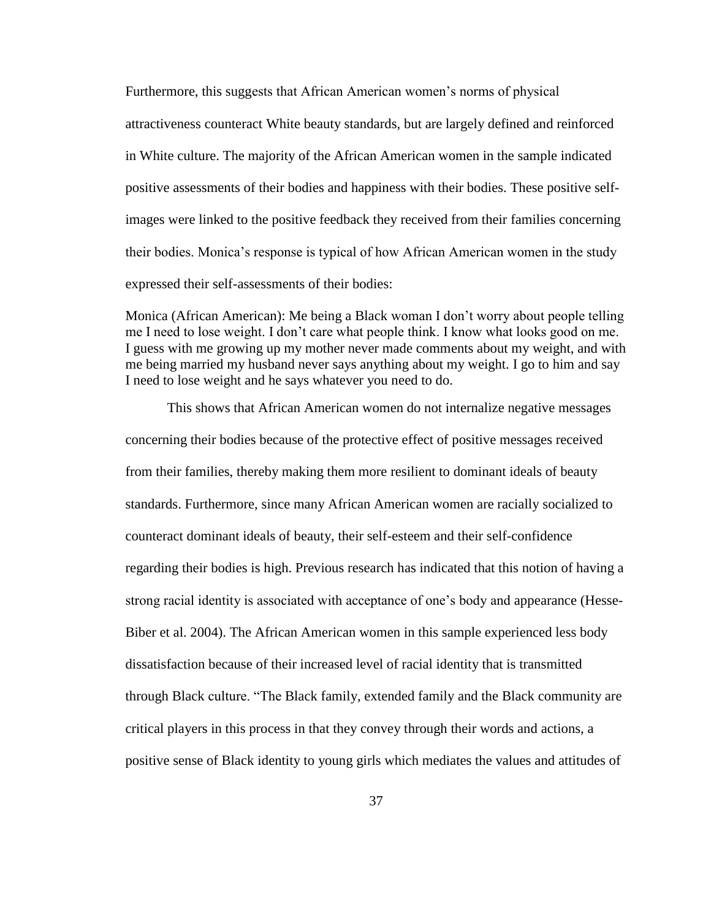Furthermore, this suggests that African American women"s norms of physical attractiveness counteract White beauty standards, but are largely defined and reinforced in White culture. The majority of the African American women in the sample indicated positive assessments of their bodies and happiness with their bodies. These positive selfimages were linked to the positive feedback they received from their families concerning their bodies. Monica"s response is typical of how African American women in the study expressed their self-assessments of their bodies:

Monica (African American): Me being a Black woman I don"t worry about people telling me I need to lose weight. I don"t care what people think. I know what looks good on me. I guess with me growing up my mother never made comments about my weight, and with me being married my husband never says anything about my weight. I go to him and say I need to lose weight and he says whatever you need to do.

This shows that African American women do not internalize negative messages concerning their bodies because of the protective effect of positive messages received from their families, thereby making them more resilient to dominant ideals of beauty standards. Furthermore, since many African American women are racially socialized to counteract dominant ideals of beauty, their self-esteem and their self-confidence regarding their bodies is high. Previous research has indicated that this notion of having a strong racial identity is associated with acceptance of one"s body and appearance (Hesse-Biber et al. 2004). The African American women in this sample experienced less body dissatisfaction because of their increased level of racial identity that is transmitted through Black culture. "The Black family, extended family and the Black community are critical players in this process in that they convey through their words and actions, a positive sense of Black identity to young girls which mediates the values and attitudes of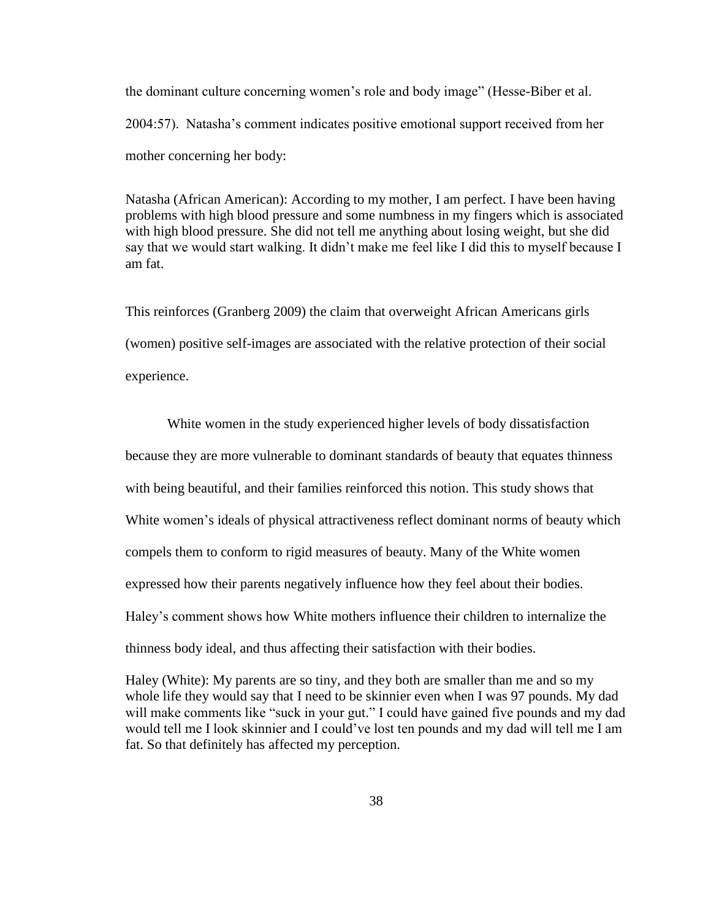the dominant culture concerning women"s role and body image" (Hesse-Biber et al. 2004:57). Natasha"s comment indicates positive emotional support received from her mother concerning her body:

Natasha (African American): According to my mother, I am perfect. I have been having problems with high blood pressure and some numbness in my fingers which is associated with high blood pressure. She did not tell me anything about losing weight, but she did say that we would start walking. It didn"t make me feel like I did this to myself because I am fat.

This reinforces (Granberg 2009) the claim that overweight African Americans girls (women) positive self-images are associated with the relative protection of their social experience.

White women in the study experienced higher levels of body dissatisfaction because they are more vulnerable to dominant standards of beauty that equates thinness with being beautiful, and their families reinforced this notion. This study shows that White women's ideals of physical attractiveness reflect dominant norms of beauty which compels them to conform to rigid measures of beauty. Many of the White women expressed how their parents negatively influence how they feel about their bodies. Haley"s comment shows how White mothers influence their children to internalize the thinness body ideal, and thus affecting their satisfaction with their bodies.

Haley (White): My parents are so tiny, and they both are smaller than me and so my whole life they would say that I need to be skinnier even when I was 97 pounds. My dad will make comments like "suck in your gut." I could have gained five pounds and my dad would tell me I look skinnier and I could"ve lost ten pounds and my dad will tell me I am fat. So that definitely has affected my perception.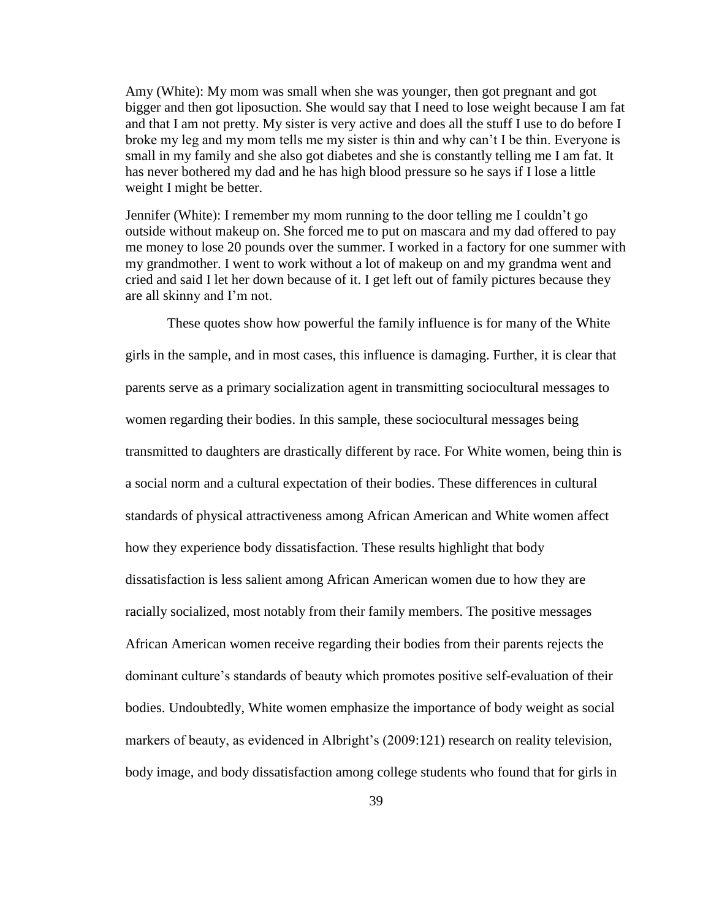Amy (White): My mom was small when she was younger, then got pregnant and got bigger and then got liposuction. She would say that I need to lose weight because I am fat and that I am not pretty. My sister is very active and does all the stuff I use to do before I broke my leg and my mom tells me my sister is thin and why can"t I be thin. Everyone is small in my family and she also got diabetes and she is constantly telling me I am fat. It has never bothered my dad and he has high blood pressure so he says if I lose a little weight I might be better.

Jennifer (White): I remember my mom running to the door telling me I couldn"t go outside without makeup on. She forced me to put on mascara and my dad offered to pay me money to lose 20 pounds over the summer. I worked in a factory for one summer with my grandmother. I went to work without a lot of makeup on and my grandma went and cried and said I let her down because of it. I get left out of family pictures because they are all skinny and I"m not.

These quotes show how powerful the family influence is for many of the White girls in the sample, and in most cases, this influence is damaging. Further, it is clear that parents serve as a primary socialization agent in transmitting sociocultural messages to women regarding their bodies. In this sample, these sociocultural messages being transmitted to daughters are drastically different by race. For White women, being thin is a social norm and a cultural expectation of their bodies. These differences in cultural standards of physical attractiveness among African American and White women affect how they experience body dissatisfaction. These results highlight that body dissatisfaction is less salient among African American women due to how they are racially socialized, most notably from their family members. The positive messages African American women receive regarding their bodies from their parents rejects the dominant culture"s standards of beauty which promotes positive self-evaluation of their bodies. Undoubtedly, White women emphasize the importance of body weight as social markers of beauty, as evidenced in Albright's (2009:121) research on reality television, body image, and body dissatisfaction among college students who found that for girls in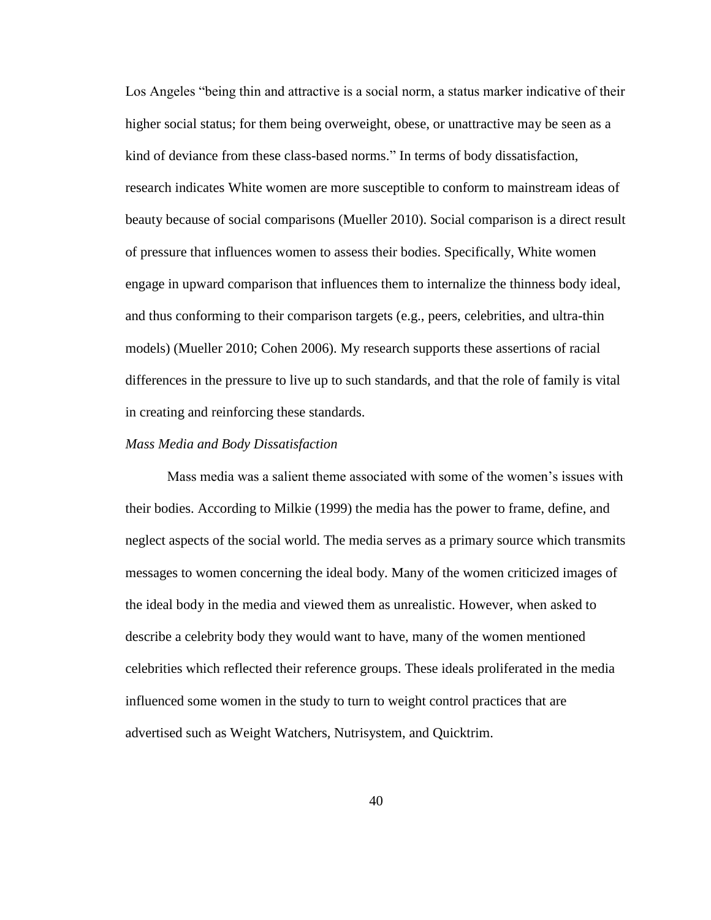Los Angeles "being thin and attractive is a social norm, a status marker indicative of their higher social status; for them being overweight, obese, or unattractive may be seen as a kind of deviance from these class-based norms." In terms of body dissatisfaction, research indicates White women are more susceptible to conform to mainstream ideas of beauty because of social comparisons (Mueller 2010). Social comparison is a direct result of pressure that influences women to assess their bodies. Specifically, White women engage in upward comparison that influences them to internalize the thinness body ideal, and thus conforming to their comparison targets (e.g., peers, celebrities, and ultra-thin models) (Mueller 2010; Cohen 2006). My research supports these assertions of racial differences in the pressure to live up to such standards, and that the role of family is vital in creating and reinforcing these standards.

#### *Mass Media and Body Dissatisfaction*

Mass media was a salient theme associated with some of the women"s issues with their bodies. According to Milkie (1999) the media has the power to frame, define, and neglect aspects of the social world. The media serves as a primary source which transmits messages to women concerning the ideal body. Many of the women criticized images of the ideal body in the media and viewed them as unrealistic. However, when asked to describe a celebrity body they would want to have, many of the women mentioned celebrities which reflected their reference groups. These ideals proliferated in the media influenced some women in the study to turn to weight control practices that are advertised such as Weight Watchers, Nutrisystem, and Quicktrim.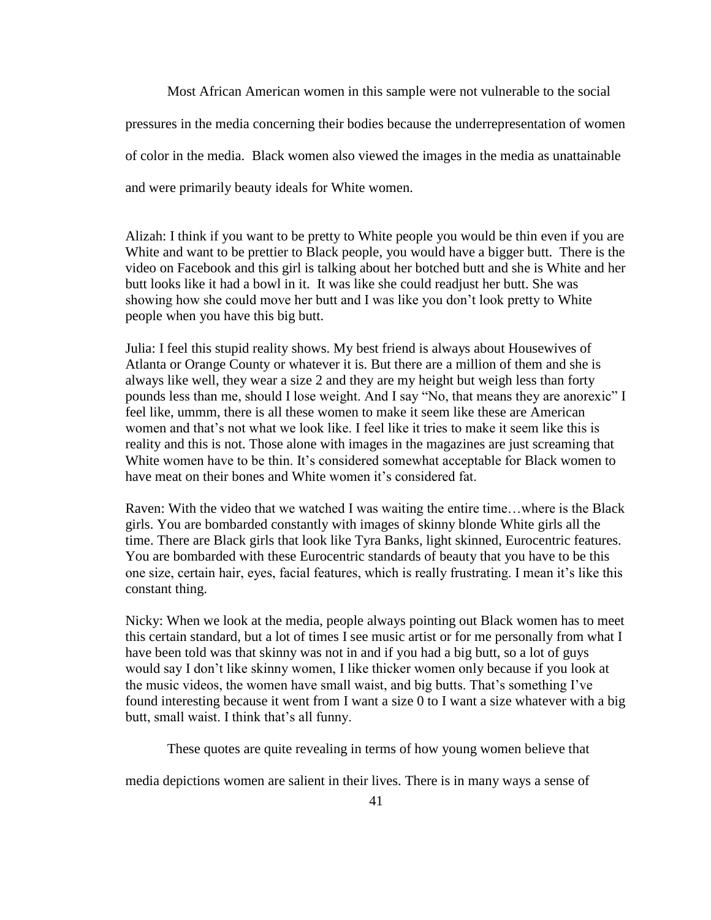Most African American women in this sample were not vulnerable to the social pressures in the media concerning their bodies because the underrepresentation of women of color in the media. Black women also viewed the images in the media as unattainable and were primarily beauty ideals for White women.

Alizah: I think if you want to be pretty to White people you would be thin even if you are White and want to be prettier to Black people, you would have a bigger butt. There is the video on Facebook and this girl is talking about her botched butt and she is White and her butt looks like it had a bowl in it. It was like she could readjust her butt. She was showing how she could move her butt and I was like you don"t look pretty to White people when you have this big butt.

Julia: I feel this stupid reality shows. My best friend is always about Housewives of Atlanta or Orange County or whatever it is. But there are a million of them and she is always like well, they wear a size 2 and they are my height but weigh less than forty pounds less than me, should I lose weight. And I say "No, that means they are anorexic" I feel like, ummm, there is all these women to make it seem like these are American women and that"s not what we look like. I feel like it tries to make it seem like this is reality and this is not. Those alone with images in the magazines are just screaming that White women have to be thin. It's considered somewhat acceptable for Black women to have meat on their bones and White women it's considered fat.

Raven: With the video that we watched I was waiting the entire time…where is the Black girls. You are bombarded constantly with images of skinny blonde White girls all the time. There are Black girls that look like Tyra Banks, light skinned, Eurocentric features. You are bombarded with these Eurocentric standards of beauty that you have to be this one size, certain hair, eyes, facial features, which is really frustrating. I mean it's like this constant thing.

Nicky: When we look at the media, people always pointing out Black women has to meet this certain standard, but a lot of times I see music artist or for me personally from what I have been told was that skinny was not in and if you had a big butt, so a lot of guys would say I don"t like skinny women, I like thicker women only because if you look at the music videos, the women have small waist, and big butts. That's something I've found interesting because it went from I want a size 0 to I want a size whatever with a big butt, small waist. I think that's all funny.

These quotes are quite revealing in terms of how young women believe that

media depictions women are salient in their lives. There is in many ways a sense of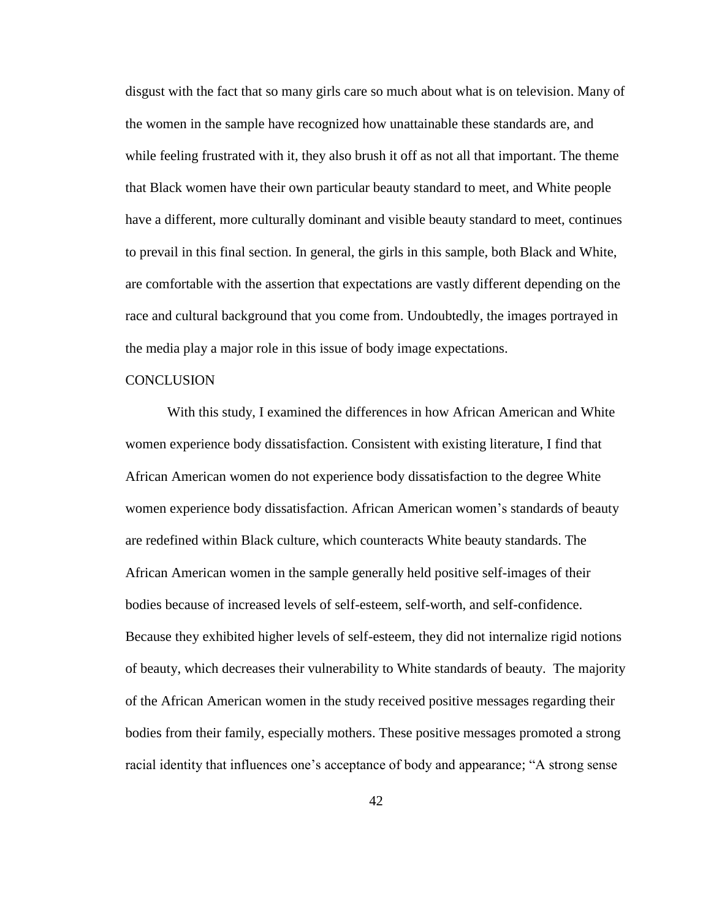disgust with the fact that so many girls care so much about what is on television. Many of the women in the sample have recognized how unattainable these standards are, and while feeling frustrated with it, they also brush it off as not all that important. The theme that Black women have their own particular beauty standard to meet, and White people have a different, more culturally dominant and visible beauty standard to meet, continues to prevail in this final section. In general, the girls in this sample, both Black and White, are comfortable with the assertion that expectations are vastly different depending on the race and cultural background that you come from. Undoubtedly, the images portrayed in the media play a major role in this issue of body image expectations.

#### **CONCLUSION**

With this study, I examined the differences in how African American and White women experience body dissatisfaction. Consistent with existing literature, I find that African American women do not experience body dissatisfaction to the degree White women experience body dissatisfaction. African American women"s standards of beauty are redefined within Black culture, which counteracts White beauty standards. The African American women in the sample generally held positive self-images of their bodies because of increased levels of self-esteem, self-worth, and self-confidence. Because they exhibited higher levels of self-esteem, they did not internalize rigid notions of beauty, which decreases their vulnerability to White standards of beauty. The majority of the African American women in the study received positive messages regarding their bodies from their family, especially mothers. These positive messages promoted a strong racial identity that influences one"s acceptance of body and appearance; "A strong sense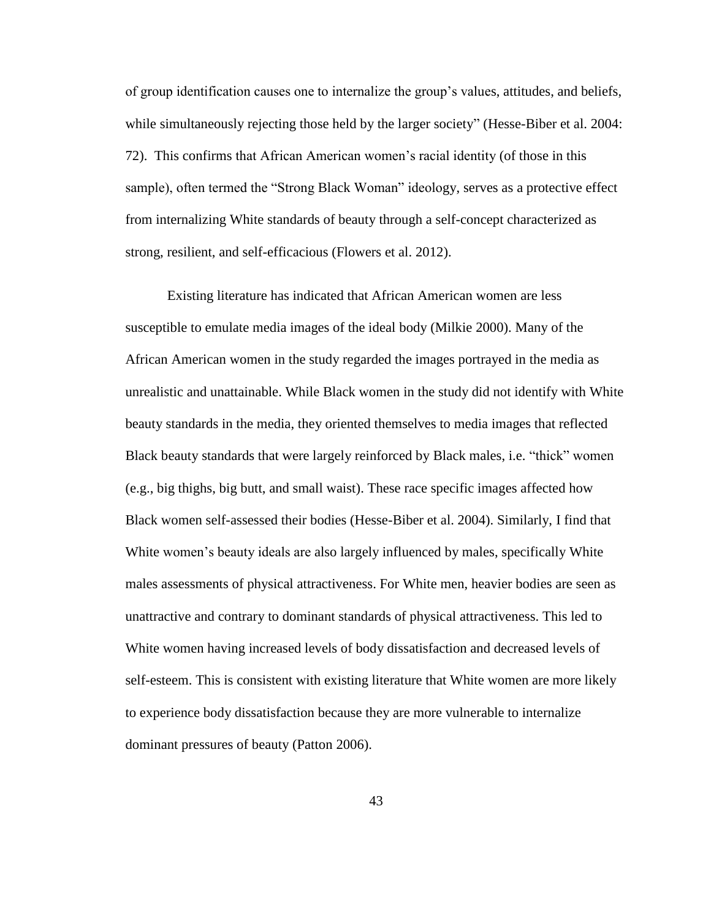of group identification causes one to internalize the group"s values, attitudes, and beliefs, while simultaneously rejecting those held by the larger society" (Hesse-Biber et al. 2004: 72). This confirms that African American women"s racial identity (of those in this sample), often termed the "Strong Black Woman" ideology, serves as a protective effect from internalizing White standards of beauty through a self-concept characterized as strong, resilient, and self-efficacious (Flowers et al. 2012).

Existing literature has indicated that African American women are less susceptible to emulate media images of the ideal body (Milkie 2000). Many of the African American women in the study regarded the images portrayed in the media as unrealistic and unattainable. While Black women in the study did not identify with White beauty standards in the media, they oriented themselves to media images that reflected Black beauty standards that were largely reinforced by Black males, i.e. "thick" women (e.g., big thighs, big butt, and small waist). These race specific images affected how Black women self-assessed their bodies (Hesse-Biber et al. 2004). Similarly, I find that White women's beauty ideals are also largely influenced by males, specifically White males assessments of physical attractiveness. For White men, heavier bodies are seen as unattractive and contrary to dominant standards of physical attractiveness. This led to White women having increased levels of body dissatisfaction and decreased levels of self-esteem. This is consistent with existing literature that White women are more likely to experience body dissatisfaction because they are more vulnerable to internalize dominant pressures of beauty (Patton 2006).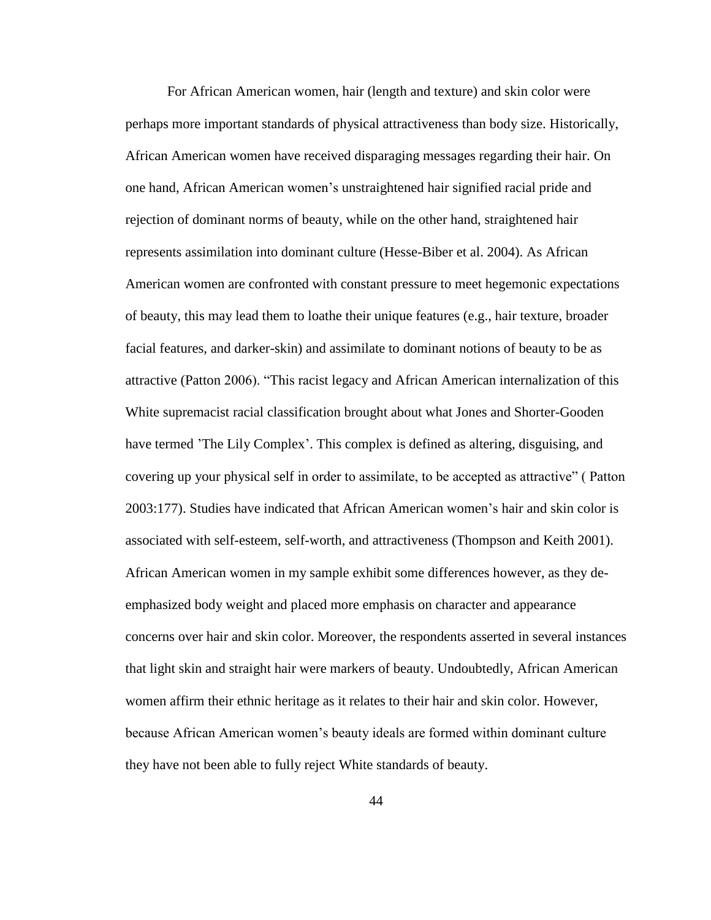For African American women, hair (length and texture) and skin color were perhaps more important standards of physical attractiveness than body size. Historically, African American women have received disparaging messages regarding their hair. On one hand, African American women"s unstraightened hair signified racial pride and rejection of dominant norms of beauty, while on the other hand, straightened hair represents assimilation into dominant culture (Hesse-Biber et al. 2004). As African American women are confronted with constant pressure to meet hegemonic expectations of beauty, this may lead them to loathe their unique features (e.g., hair texture, broader facial features, and darker-skin) and assimilate to dominant notions of beauty to be as attractive (Patton 2006). "This racist legacy and African American internalization of this White supremacist racial classification brought about what Jones and Shorter-Gooden have termed 'The Lily Complex'. This complex is defined as altering, disguising, and covering up your physical self in order to assimilate, to be accepted as attractive" ( Patton 2003:177). Studies have indicated that African American women"s hair and skin color is associated with self-esteem, self-worth, and attractiveness (Thompson and Keith 2001). African American women in my sample exhibit some differences however, as they deemphasized body weight and placed more emphasis on character and appearance concerns over hair and skin color. Moreover, the respondents asserted in several instances that light skin and straight hair were markers of beauty. Undoubtedly, African American women affirm their ethnic heritage as it relates to their hair and skin color. However, because African American women"s beauty ideals are formed within dominant culture they have not been able to fully reject White standards of beauty.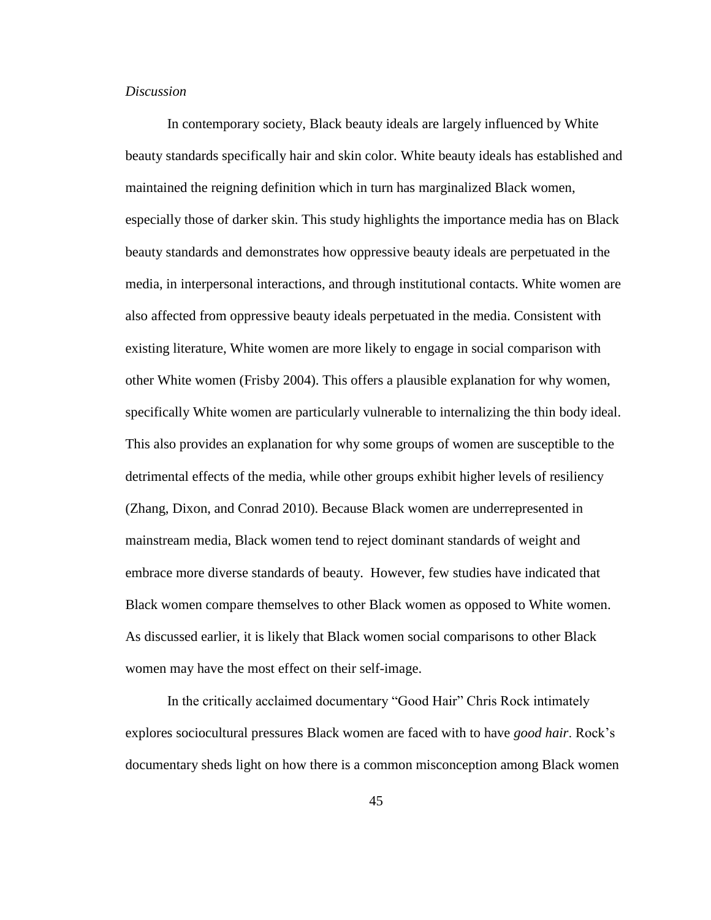#### *Discussion*

In contemporary society, Black beauty ideals are largely influenced by White beauty standards specifically hair and skin color. White beauty ideals has established and maintained the reigning definition which in turn has marginalized Black women, especially those of darker skin. This study highlights the importance media has on Black beauty standards and demonstrates how oppressive beauty ideals are perpetuated in the media, in interpersonal interactions, and through institutional contacts. White women are also affected from oppressive beauty ideals perpetuated in the media. Consistent with existing literature, White women are more likely to engage in social comparison with other White women (Frisby 2004). This offers a plausible explanation for why women, specifically White women are particularly vulnerable to internalizing the thin body ideal. This also provides an explanation for why some groups of women are susceptible to the detrimental effects of the media, while other groups exhibit higher levels of resiliency (Zhang, Dixon, and Conrad 2010). Because Black women are underrepresented in mainstream media, Black women tend to reject dominant standards of weight and embrace more diverse standards of beauty. However, few studies have indicated that Black women compare themselves to other Black women as opposed to White women. As discussed earlier, it is likely that Black women social comparisons to other Black women may have the most effect on their self-image.

In the critically acclaimed documentary "Good Hair" Chris Rock intimately explores sociocultural pressures Black women are faced with to have *good hair*. Rock"s documentary sheds light on how there is a common misconception among Black women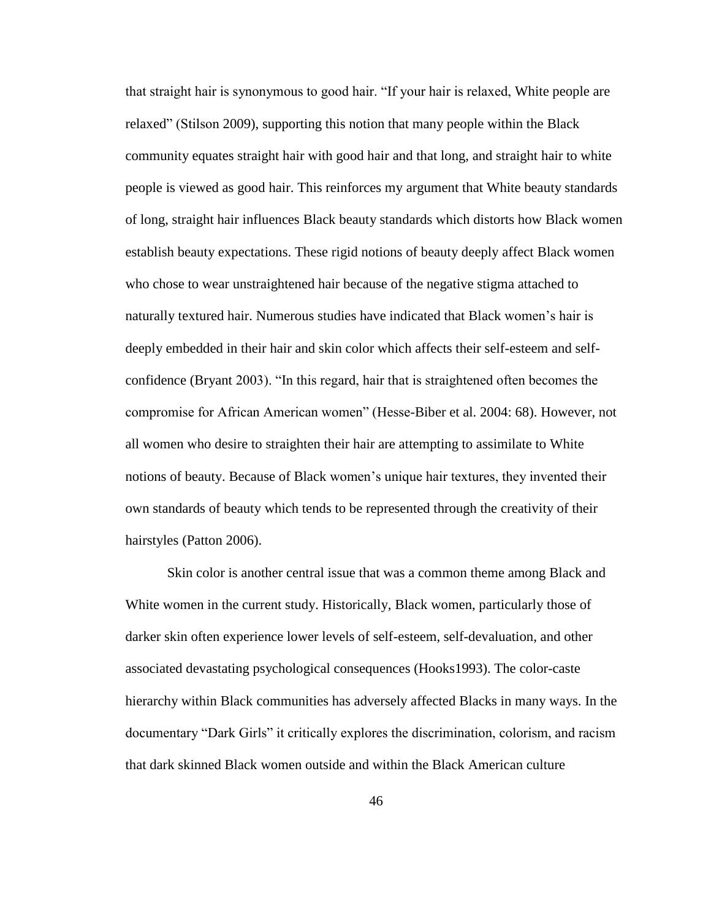that straight hair is synonymous to good hair. "If your hair is relaxed, White people are relaxed" (Stilson 2009), supporting this notion that many people within the Black community equates straight hair with good hair and that long, and straight hair to white people is viewed as good hair. This reinforces my argument that White beauty standards of long, straight hair influences Black beauty standards which distorts how Black women establish beauty expectations. These rigid notions of beauty deeply affect Black women who chose to wear unstraightened hair because of the negative stigma attached to naturally textured hair. Numerous studies have indicated that Black women"s hair is deeply embedded in their hair and skin color which affects their self-esteem and selfconfidence (Bryant 2003). "In this regard, hair that is straightened often becomes the compromise for African American women" (Hesse-Biber et al. 2004: 68). However, not all women who desire to straighten their hair are attempting to assimilate to White notions of beauty. Because of Black women"s unique hair textures, they invented their own standards of beauty which tends to be represented through the creativity of their hairstyles (Patton 2006).

Skin color is another central issue that was a common theme among Black and White women in the current study. Historically, Black women, particularly those of darker skin often experience lower levels of self-esteem, self-devaluation, and other associated devastating psychological consequences (Hooks1993). The color-caste hierarchy within Black communities has adversely affected Blacks in many ways. In the documentary "Dark Girls" it critically explores the discrimination, colorism, and racism that dark skinned Black women outside and within the Black American culture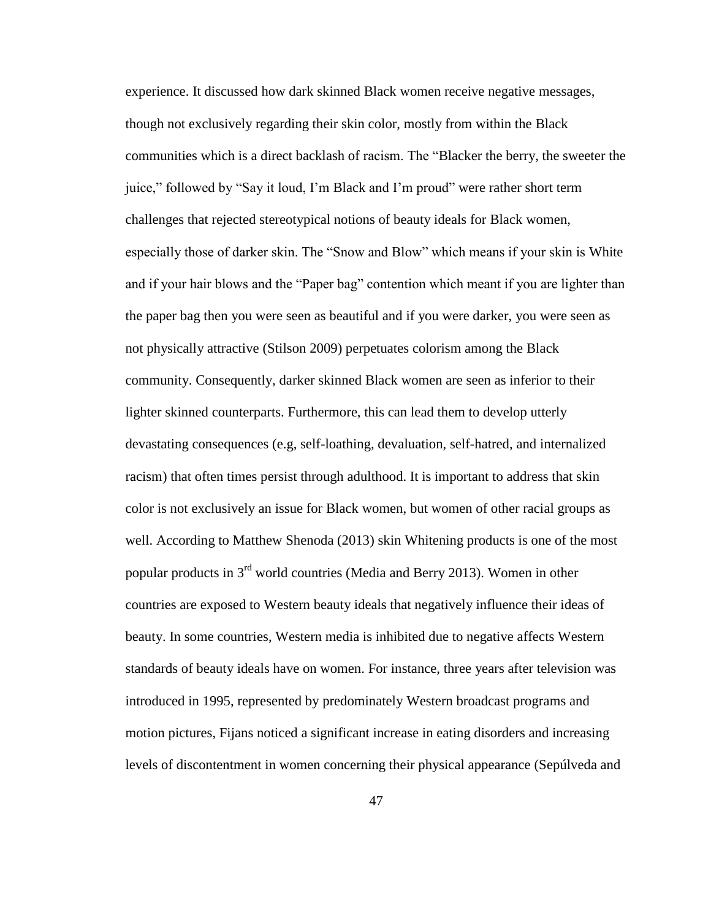experience. It discussed how dark skinned Black women receive negative messages, though not exclusively regarding their skin color, mostly from within the Black communities which is a direct backlash of racism. The "Blacker the berry, the sweeter the juice," followed by "Say it loud, I"m Black and I"m proud" were rather short term challenges that rejected stereotypical notions of beauty ideals for Black women, especially those of darker skin. The "Snow and Blow" which means if your skin is White and if your hair blows and the "Paper bag" contention which meant if you are lighter than the paper bag then you were seen as beautiful and if you were darker, you were seen as not physically attractive (Stilson 2009) perpetuates colorism among the Black community. Consequently, darker skinned Black women are seen as inferior to their lighter skinned counterparts. Furthermore, this can lead them to develop utterly devastating consequences (e.g, self-loathing, devaluation, self-hatred, and internalized racism) that often times persist through adulthood. It is important to address that skin color is not exclusively an issue for Black women, but women of other racial groups as well. According to Matthew Shenoda (2013) skin Whitening products is one of the most popular products in 3rd world countries (Media and Berry 2013). Women in other countries are exposed to Western beauty ideals that negatively influence their ideas of beauty. In some countries, Western media is inhibited due to negative affects Western standards of beauty ideals have on women. For instance, three years after television was introduced in 1995, represented by predominately Western broadcast programs and motion pictures, Fijans noticed a significant increase in eating disorders and increasing levels of discontentment in women concerning their physical appearance (Sepúlveda and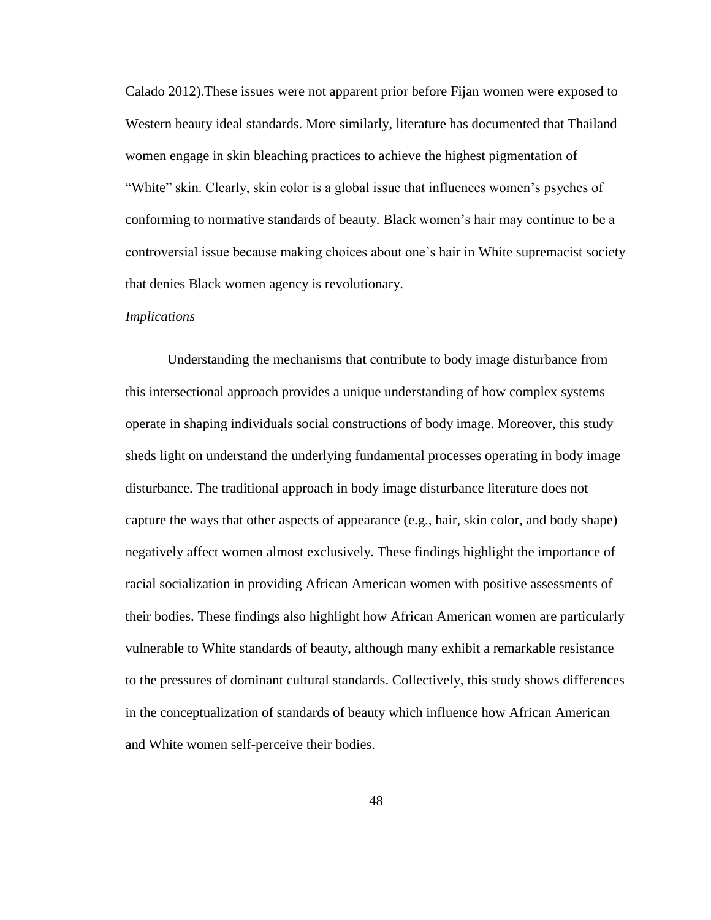Calado 2012).These issues were not apparent prior before Fijan women were exposed to Western beauty ideal standards. More similarly, literature has documented that Thailand women engage in skin bleaching practices to achieve the highest pigmentation of "White" skin. Clearly, skin color is a global issue that influences women"s psyches of conforming to normative standards of beauty. Black women"s hair may continue to be a controversial issue because making choices about one"s hair in White supremacist society that denies Black women agency is revolutionary.

#### *Implications*

Understanding the mechanisms that contribute to body image disturbance from this intersectional approach provides a unique understanding of how complex systems operate in shaping individuals social constructions of body image. Moreover, this study sheds light on understand the underlying fundamental processes operating in body image disturbance. The traditional approach in body image disturbance literature does not capture the ways that other aspects of appearance (e.g., hair, skin color, and body shape) negatively affect women almost exclusively. These findings highlight the importance of racial socialization in providing African American women with positive assessments of their bodies. These findings also highlight how African American women are particularly vulnerable to White standards of beauty, although many exhibit a remarkable resistance to the pressures of dominant cultural standards. Collectively, this study shows differences in the conceptualization of standards of beauty which influence how African American and White women self-perceive their bodies.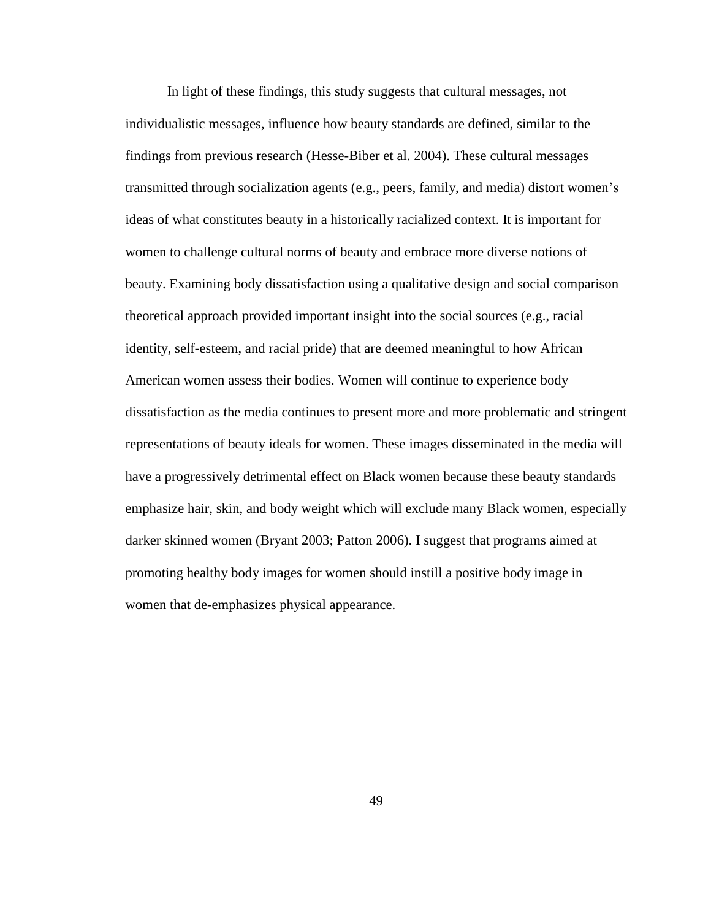In light of these findings, this study suggests that cultural messages, not individualistic messages, influence how beauty standards are defined, similar to the findings from previous research (Hesse-Biber et al. 2004). These cultural messages transmitted through socialization agents (e.g., peers, family, and media) distort women"s ideas of what constitutes beauty in a historically racialized context. It is important for women to challenge cultural norms of beauty and embrace more diverse notions of beauty. Examining body dissatisfaction using a qualitative design and social comparison theoretical approach provided important insight into the social sources (e.g., racial identity, self-esteem, and racial pride) that are deemed meaningful to how African American women assess their bodies. Women will continue to experience body dissatisfaction as the media continues to present more and more problematic and stringent representations of beauty ideals for women. These images disseminated in the media will have a progressively detrimental effect on Black women because these beauty standards emphasize hair, skin, and body weight which will exclude many Black women, especially darker skinned women (Bryant 2003; Patton 2006). I suggest that programs aimed at promoting healthy body images for women should instill a positive body image in women that de-emphasizes physical appearance.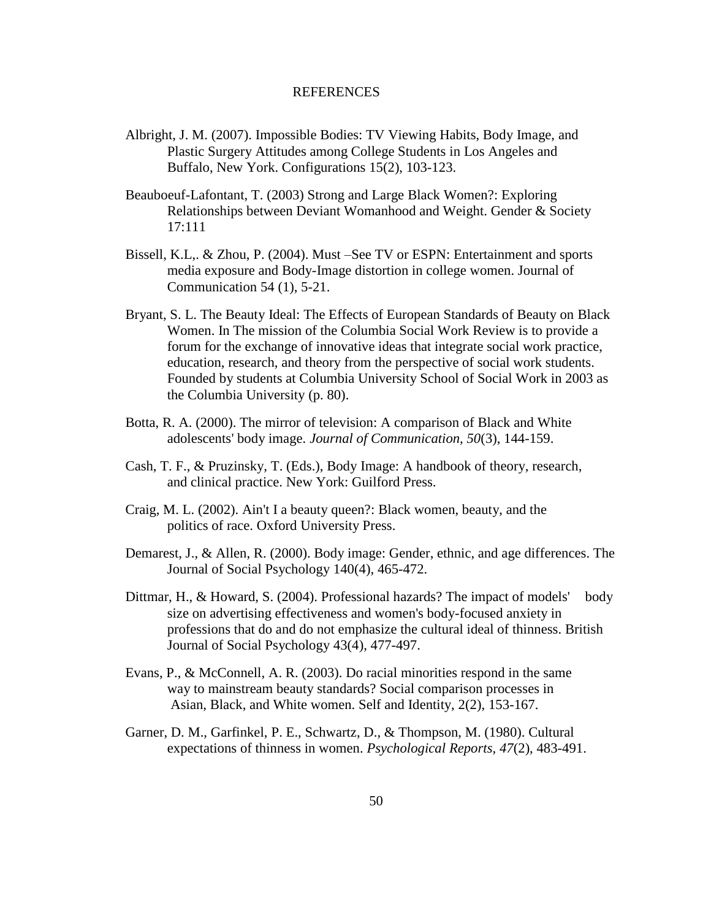#### REFERENCES

- Albright, J. M. (2007). Impossible Bodies: TV Viewing Habits, Body Image, and Plastic Surgery Attitudes among College Students in Los Angeles and Buffalo, New York. Configurations 15(2), 103-123.
- Beauboeuf-Lafontant, T. (2003) Strong and Large Black Women?: Exploring Relationships between Deviant Womanhood and Weight. Gender & Society 17:111
- Bissell, K.L,. & Zhou, P. (2004). Must –See TV or ESPN: Entertainment and sports media exposure and Body-Image distortion in college women. Journal of Communication 54 (1), 5-21.
- Bryant, S. L. The Beauty Ideal: The Effects of European Standards of Beauty on Black Women. In The mission of the Columbia Social Work Review is to provide a forum for the exchange of innovative ideas that integrate social work practice, education, research, and theory from the perspective of social work students. Founded by students at Columbia University School of Social Work in 2003 as the Columbia University (p. 80).
- Botta, R. A. (2000). The mirror of television: A comparison of Black and White adolescents' body image. *Journal of Communication, 50*(3), 144-159.
- Cash, T. F., & Pruzinsky, T. (Eds.), Body Image: A handbook of theory, research, and clinical practice. New York: Guilford Press.
- Craig, M. L. (2002). Ain't I a beauty queen?: Black women, beauty, and the politics of race. Oxford University Press.
- Demarest, J., & Allen, R. (2000). Body image: Gender, ethnic, and age differences. The Journal of Social Psychology 140(4), 465-472.
- Dittmar, H., & Howard, S. (2004). Professional hazards? The impact of models' body size on advertising effectiveness and women's body-focused anxiety in professions that do and do not emphasize the cultural ideal of thinness. British Journal of Social Psychology 43(4), 477-497.
- Evans, P., & McConnell, A. R. (2003). Do racial minorities respond in the same way to mainstream beauty standards? Social comparison processes in Asian, Black, and White women. Self and Identity, 2(2), 153-167.
- Garner, D. M., Garfinkel, P. E., Schwartz, D., & Thompson, M. (1980). Cultural expectations of thinness in women. *Psychological Reports, 47*(2), 483-491.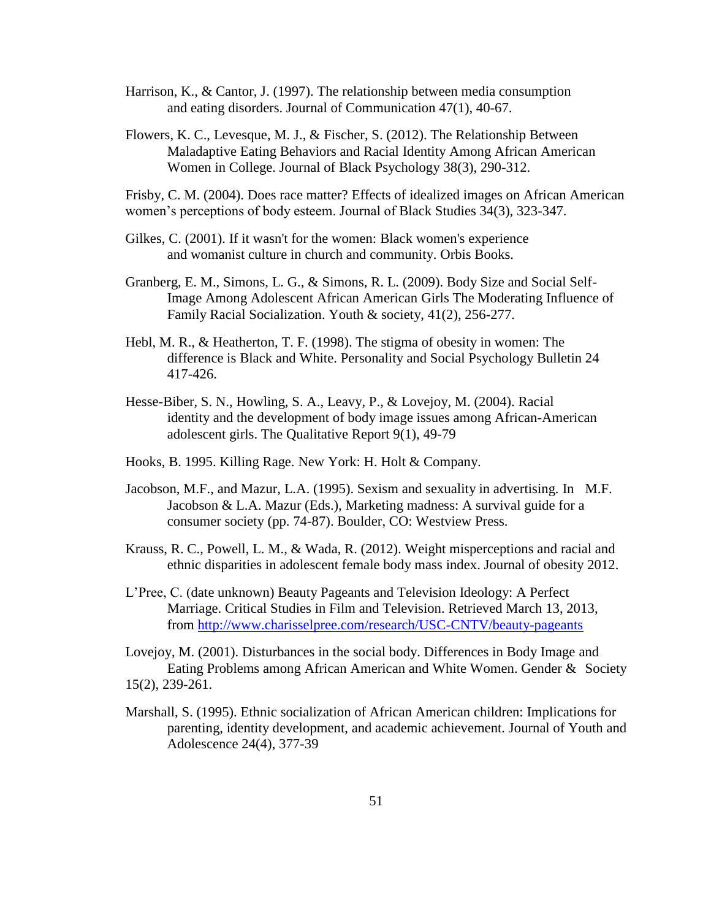- Harrison, K., & Cantor, J. (1997). The relationship between media consumption and eating disorders. Journal of Communication 47(1), 40-67.
- Flowers, K. C., Levesque, M. J., & Fischer, S. (2012). The Relationship Between Maladaptive Eating Behaviors and Racial Identity Among African American Women in College. Journal of Black Psychology 38(3), 290-312.

Frisby, C. M. (2004). Does race matter? Effects of idealized images on African American women"s perceptions of body esteem. Journal of Black Studies 34(3), 323-347.

- Gilkes, C. (2001). If it wasn't for the women: Black women's experience and womanist culture in church and community. Orbis Books.
- Granberg, E. M., Simons, L. G., & Simons, R. L. (2009). Body Size and Social Self-Image Among Adolescent African American Girls The Moderating Influence of Family Racial Socialization. Youth & society, 41(2), 256-277.
- Hebl, M. R., & Heatherton, T. F. (1998). The stigma of obesity in women: The difference is Black and White. Personality and Social Psychology Bulletin 24 417-426.
- Hesse-Biber, S. N., Howling, S. A., Leavy, P., & Lovejoy, M. (2004). Racial identity and the development of body image issues among African-American adolescent girls. The Qualitative Report 9(1), 49-79
- Hooks, B. 1995. Killing Rage. New York: H. Holt & Company.
- Jacobson, M.F., and Mazur, L.A. (1995). Sexism and sexuality in advertising. In M.F. Jacobson & L.A. Mazur (Eds.), Marketing madness: A survival guide for a consumer society (pp. 74-87). Boulder, CO: Westview Press.
- Krauss, R. C., Powell, L. M., & Wada, R. (2012). Weight misperceptions and racial and ethnic disparities in adolescent female body mass index. Journal of obesity 2012.
- L"Pree, C. (date unknown) Beauty Pageants and Television Ideology: A Perfect Marriage. Critical Studies in Film and Television. Retrieved March 13, 2013, from<http://www.charisselpree.com/research/USC-CNTV/beauty-pageants>

Lovejoy, M. (2001). Disturbances in the social body. Differences in Body Image and Eating Problems among African American and White Women. Gender & Society 15(2), 239-261.

Marshall, S. (1995). Ethnic socialization of African American children: Implications for parenting, identity development, and academic achievement. Journal of Youth and Adolescence 24(4), 377-39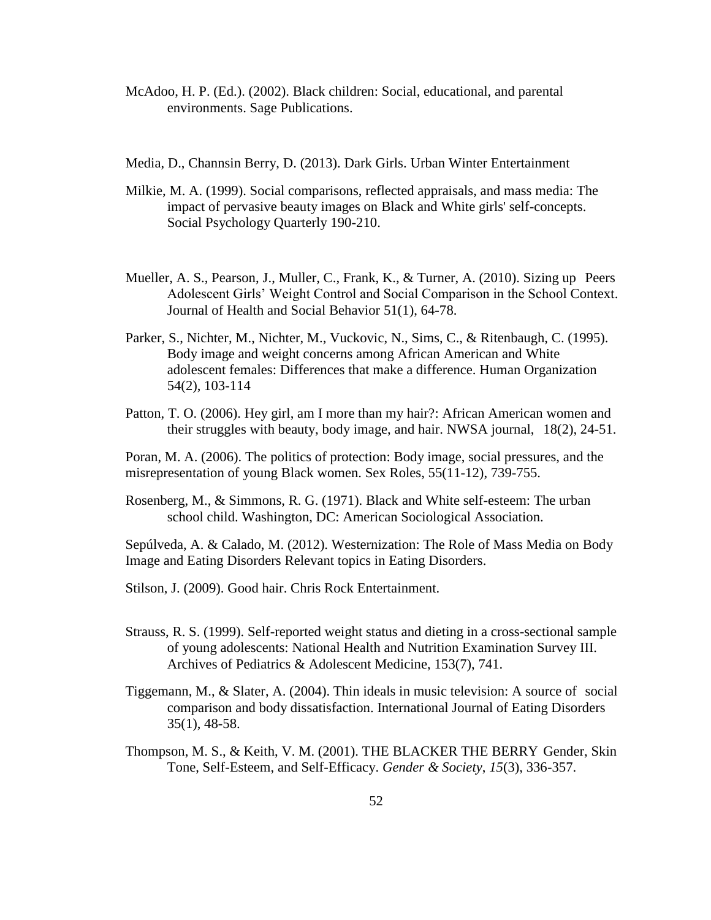- McAdoo, H. P. (Ed.). (2002). Black children: Social, educational, and parental environments. Sage Publications.
- Media, D., Channsin Berry, D. (2013). Dark Girls. Urban Winter Entertainment
- Milkie, M. A. (1999). Social comparisons, reflected appraisals, and mass media: The impact of pervasive beauty images on Black and White girls' self-concepts. Social Psychology Quarterly 190-210.
- Mueller, A. S., Pearson, J., Muller, C., Frank, K., & Turner, A. (2010). Sizing up Peers Adolescent Girls" Weight Control and Social Comparison in the School Context. Journal of Health and Social Behavior 51(1), 64-78.
- Parker, S., Nichter, M., Nichter, M., Vuckovic, N., Sims, C., & Ritenbaugh, C. (1995). Body image and weight concerns among African American and White adolescent females: Differences that make a difference. Human Organization 54(2), 103-114
- Patton, T. O. (2006). Hey girl, am I more than my hair?: African American women and their struggles with beauty, body image, and hair. NWSA journal, 18(2), 24-51.

Poran, M. A. (2006). The politics of protection: Body image, social pressures, and the misrepresentation of young Black women. Sex Roles, 55(11-12), 739-755.

Rosenberg, M., & Simmons, R. G. (1971). Black and White self-esteem: The urban school child. Washington, DC: American Sociological Association.

Sepúlveda, A. & Calado, M. (2012). Westernization: The Role of Mass Media on Body Image and Eating Disorders Relevant topics in Eating Disorders.

Stilson, J. (2009). Good hair. Chris Rock Entertainment.

- Strauss, R. S. (1999). Self-reported weight status and dieting in a cross-sectional sample of young adolescents: National Health and Nutrition Examination Survey III. Archives of Pediatrics & Adolescent Medicine, 153(7), 741.
- Tiggemann, M., & Slater, A. (2004). Thin ideals in music television: A source of social comparison and body dissatisfaction. International Journal of Eating Disorders 35(1), 48-58.
- Thompson, M. S., & Keith, V. M. (2001). THE BLACKER THE BERRY Gender, Skin Tone, Self-Esteem, and Self-Efficacy. *Gender & Society*, *15*(3), 336-357.